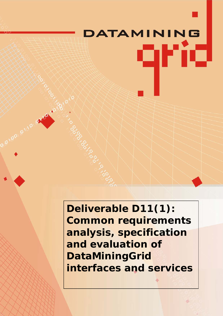# **DATAMINING** qrid

**Deliverable D11(1): Common requirements analysis, specification and evaluation of DataMiningGrid interfaces and services**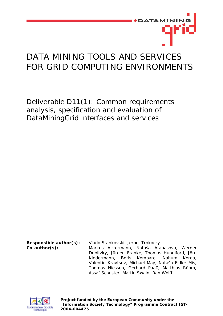

# DATA MINING TOOLS AND SERVICES FOR GRID COMPUTING ENVIRONMENTS

Deliverable D11(1): Common requirements analysis, specification and evaluation of DataMiningGrid interfaces and services

**Responsible author(s):** Vlado Stankovski, Jernej Trnkoczy **Co-author(s):** Markus Ackermann, Nataša Atanasova, Werner Dubitzky, Jürgen Franke, Thomas Hunniford, Jörg Kindermann, Boris Kompare, Nahum Korda, Valentin Kravtsov, Michael May, Nataša Fidler Mis, Thomas Niessen, Gerhard Paaß, Matthias Röhm, Assaf Schuster, Martin Swain, Ran Wolff



**Project funded by the European Community under the "Information Society Technology" Programme Contract IST-2004-004475**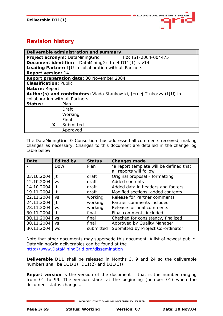

## **Revision history**

| Deliverable administration and summary                                 |                                           |           |                                                         |  |
|------------------------------------------------------------------------|-------------------------------------------|-----------|---------------------------------------------------------|--|
| Project acronym: DataMiningGrid<br>ID: IST-2004-004475                 |                                           |           |                                                         |  |
|                                                                        |                                           |           | Document identifier:   DataMiningGrid-del-D11(1)-s-v14  |  |
|                                                                        |                                           |           | Leading Partner: LJU in collaboration with all Partners |  |
| <b>Report version: 14</b>                                              |                                           |           |                                                         |  |
|                                                                        | Report preparation date: 30 November 2004 |           |                                                         |  |
| <b>Classification: Public</b>                                          |                                           |           |                                                         |  |
| Nature: Report                                                         |                                           |           |                                                         |  |
| Author(s) and contributors: Vlado Stankovski, Jernej Trnkoczy (LJU) in |                                           |           |                                                         |  |
| collaboration with all Partners                                        |                                           |           |                                                         |  |
| Status:                                                                |                                           | Plan      |                                                         |  |
|                                                                        |                                           | Draft     |                                                         |  |
|                                                                        | Working                                   |           |                                                         |  |
|                                                                        | Final                                     |           |                                                         |  |
|                                                                        | X.                                        | Submitted |                                                         |  |
|                                                                        |                                           | Approved  |                                                         |  |

The DataMiningGrid © Consortium has addressed all comments received, making changes as necessary. Changes to this document are detailed in the change log table below.

| <b>Date</b> | <b>Edited by</b> | <b>Status</b> | <b>Changes made</b>                     |
|-------------|------------------|---------------|-----------------------------------------|
|             | <b>DoW</b>       | Plan          | "a report template will be defined that |
|             |                  |               | all reports will follow"                |
| 03.10.2004  | it               | draft         | Original proposal - formatting          |
| 12.10.2004  | <b>VS</b>        | draft         | Added contents                          |
| 14.10.2004  | it               | draft         | Added data in headers and footers       |
| 19.11.2004  | it               | draft         | Modified sections, added contents       |
| 22.11.2004  | <b>VS</b>        | working       | Release for Partner comments            |
| 24.11.2004  | it               | working       | Partner comments included               |
| 28.11.2004  | <b>VS</b>        | working       | Release for final comments              |
| 30.11.2004  | it               | final         | Final comments included                 |
| 30.11.2004  | <b>VS</b>        | final         | Checked for consistency, finalized      |
| 30.11.2004  | <b>VS</b>        | final         | Approved by Quality Manager             |
| 30.11.2004  | wd               | submitted     | Submitted by Project Co-ordinator       |

Note that other documents may supersede this document. A list of newest public DataMiningGrid deliverables can be found at the [http://www.DataMiningGrid.org/dissemination](http://www.datamininggrid.org/dissemination) .

**Deliverable D11** shall be released in Months 3, 9 and 24 so the deliverable numbers shall be D11(1), D11(2) and D11(3)).

**Report version** is the version of the document – that is the number ranging from 01 to 99. The version starts at the beginning (number 01) when the document status changes.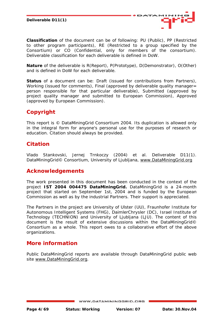

**Classification** of the document can be of following: PU (Public), PP (Restricted to other program participants), RE (Restricted to a group specified by the Consortium) or CO (Confidential, only for members of the consortium). Deliverable classification for each deliverable is defined in DoW.

**Nature** of the deliverable is R(Report), P(Prototype), D(Demonstrator), O(Other) and is defined in DoW for each deliverable.

**Status** of a document can be: Draft (issued for contributions from Partners), Working (issued for comments), Final (approved by deliverable quality manager= person responsible for that particular deliverable), Submitted (approved by project quality manager and submitted to European Commission), Approved (approved by European Commission).

## **Copyright**

This report is © DataMiningGrid Consortium 2004. Its duplication is allowed only in the integral form for anyone's personal use for the purposes of research or education. Citation should always be provided.

## **Citation**

Vlado Stankovski, Jernej Trnkoczy (2004) et al. Deliverable D11(1). DataMiningGrid© Consortium, University of Ljubljana, www.DataMiningGrid.org

## **Acknowledgements**

The work presented in this document has been conducted in the context of the project **IST 2004 004475 DataMiningGrid.** DataMiningGrid is a 24-month project that started on September 1st, 2004 and is funded by the European Commission as well as by the industrial Partners. Their support is appreciated.

The Partners in the project are University of Ulster (UU), Fraunhofer Institute for Autonomous Intelligent Systems (FHG), DaimlerChrysler (DC), Israel Institute of Technology (TECHNION) and University of Ljubljana (LJU). The content of this document is the result of extensive discussions within the DataMiningGrid© Consortium as a whole. This report owes to a collaborative effort of the above organizations.

## **More information**

Public DataMiningGrid reports are available through DataMiningGrid public web site www.DataMiningGrid.org.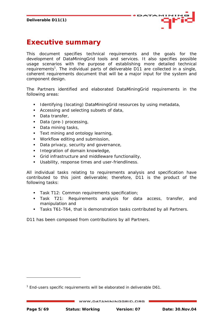

# <span id="page-4-1"></span>**Executive summary**

This document specifies technical requirements and the goals for the development of DataMiningGrid tools and services. It also specifies possible usage scenarios with the purpose of establishing more detailed technical requirements<sup>1</sup>[.](#page-4-0) The individual parts of deliverable D11 are collected in a single, coherent requirements document that will be a major input for the system and component design.

The Partners identified and elaborated DataMiningGrid requirements in the following areas:

- **IDENTIFY IDENTIFY IDEOTATION** DataMiningGrid resources by using metadata,
- Accessing and selecting subsets of data,
- Data transfer,

j

- Data (pre-) processing,
- Data mining tasks,
- Text mining and ontology learning,
- **Workflow editing and submission,**
- Data privacy, security and governance,
- **Integration of domain knowledge,**
- Grid infrastructure and middleware functionality,
- Usability, response times and user-friendliness.

All individual tasks relating to requirements analysis and specification have contributed to this joint deliverable; therefore, D11 is the product of the following tasks:

- Task T12: Common requirements specification;
- Task T21: Requirements analysis for data access, transfer, and manipulation and
- Tasks T61-T64, that is demonstration tasks contributed by all Partners.

D11 has been composed from contributions by all Partners.

<span id="page-4-0"></span><sup>&</sup>lt;sup>1</sup> End-users specific requirements will be elaborated in deliverable D61.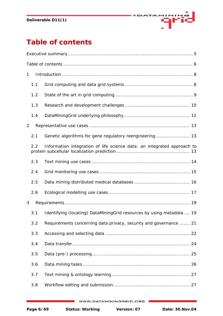

# <span id="page-5-0"></span>**Table of contents**

| 1   |                                                                         |  |  |  |
|-----|-------------------------------------------------------------------------|--|--|--|
| 1.1 |                                                                         |  |  |  |
| 1.2 |                                                                         |  |  |  |
| 1.3 |                                                                         |  |  |  |
| 1.4 |                                                                         |  |  |  |
| 2   |                                                                         |  |  |  |
| 2.1 |                                                                         |  |  |  |
| 2.2 | Information integration of life science data: an integrated approach to |  |  |  |
| 2.3 |                                                                         |  |  |  |
| 2.4 |                                                                         |  |  |  |
| 2.5 |                                                                         |  |  |  |
| 2.6 |                                                                         |  |  |  |
| 3   |                                                                         |  |  |  |
| 3.1 | Identifying (locating) DataMiningGrid resources by using metadata 19    |  |  |  |
| 3.2 | Requirements concerning data privacy, security and governance  21       |  |  |  |
| 3.3 |                                                                         |  |  |  |
| 3.4 |                                                                         |  |  |  |
| 3.5 |                                                                         |  |  |  |
| 3.6 |                                                                         |  |  |  |
| 3.7 |                                                                         |  |  |  |
| 3.8 |                                                                         |  |  |  |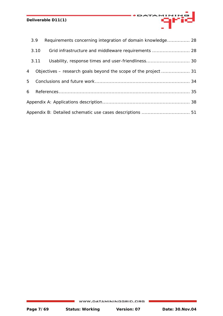|                                                           | 3.9  | Requirements concerning integration of domain knowledge 28 |  |  |
|-----------------------------------------------------------|------|------------------------------------------------------------|--|--|
|                                                           | 3.10 | Grid infrastructure and middleware requirements  28        |  |  |
|                                                           | 3.11 | Usability, response times and user-friendliness 30         |  |  |
| $\overline{4}$                                            |      |                                                            |  |  |
|                                                           | 5    |                                                            |  |  |
|                                                           | 6    |                                                            |  |  |
|                                                           |      |                                                            |  |  |
| Appendix B: Detailed schematic use cases descriptions  51 |      |                                                            |  |  |

MINING

ФF

DATA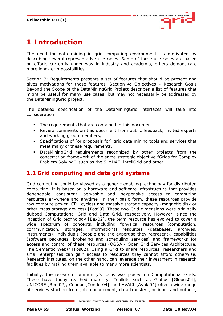

# <span id="page-7-0"></span>**1 Introduction**

The need for data mining in grid computing environments is motivated by describing several representative use cases. Some of these use cases are based on efforts currently under way in industry and academia, others demonstrate more long-term possibilities.

Section 3: Requirements presents a set of features that should be present and gives motivations for those features. Section 4: Objectives – Research Goals Beyond the Scope of the DataMiningGrid Project describes a list of features that might be useful for many use cases, but may not necessarily be addressed by the DataMiningGrid project.

The detailed specification of the DataMiningGrid interfaces will take into consideration:

- The requirements that are contained in this document,
- Review comments on this document from public feedback, invited experts and working group members,
- Specifications of (or proposals for) grid data mining tools and services that meet many of these requirements,
- DataMiningGrid requirements recognized by other projects from the concertation framework of the same strategic objective "Grids for Complex Problem Solving", such as the SIMDAT, inteliGrid and other.

## **1.1 Grid computing and data grid systems**

Grid computing could be viewed as a generic enabling technology for distributed computing. It is based on a hardware and software infrastructure that provides dependable, consistent, pervasive and inexpensive access to computing resources anywhere and anytime. In their basic form, these resources provide raw compute power (CPU cycles) and massive storage capacity (magnetic disk or other mass storage devices) [Fos99]. These two Grid dimensions were originally dubbed Computational Grid and Data Grid, respectively. However, since the inception of Grid technology [Bax02], the term resource has evolved to cover a wide spectrum of concepts, including "physical resources (computation, communication, storage), informational resources (databases, archives, instruments), individuals (people and the expertise they represent), capabilities (software packages, brokering and scheduling services) and frameworks for access and control of these resources (OGSA - Open Grid Services Architecture, The Semantic Web)" [Fos02]. Using a Grid to share resources, researchers and small enterprises can gain access to resources they cannot afford otherwise. Research institutes, on the other hand, can leverage their investment in research facilities by making them available to many more scientists.

Initially, the research community's focus was placed on Computational Grids. These have today reached maturity. Toolkits such as Globus [Globus04], UNICORE [Rom02], Condor [Condor04], and AVAKI [Avaki04] offer a wide range of services starting from job management, data transfer (for input and output),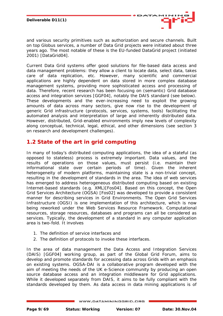

<span id="page-8-0"></span>and various security primitives such as authorization and secure channels. Built on top Globus services, a number of Data Grid projects were initiated about three years ago. The most notable of these is the EU-funded DataGrid project (initiated 2001) [DataGrid04].

Current Data Grid systems offer good solutions for file-based data access and data management problems: they allow a client to locate data, select data, takes care of data replication, etc. However, many scientific and commercial applications are highly dependent on data stored in more complex database management systems, providing more sophisticated access and processing of data. Therefore, recent research has been focusing on (semantic) Grid database access and integration services [GGF04], notably the DAIS standard (see below). These developments and the ever-increasing need to exploit the growing amounts of data across many sectors, give now rise to the development of generic Grid infrastructure (protocols, services, systems, tools) facilitating the automated analysis and interpretation of large and inherently distributed data. However, distributed, Grid-enabled environments imply new levels of complexity along conceptual, technical, legal, ethical, and other dimensions (see section 3 on research and development challenges).

## **1.2 State of the art in grid computing**

In many of today's distributed computing applications, the idea of a stateful (as opposed to stateless) process is extremely important. Data values, and the results of operations on those values, must persist (i.e. maintain their informational state over certain periods of time). Given the inherent heterogeneity of modern platforms, maintaining state is a non-trivial concept, resulting in the development of standards in the area. The idea of web services has emerged to address heterogeneous distributed computing based on existing Internet-based standards (e.g. XML)[Fos04]. Based on this concept, the Open Grid Services Architecture (OGSA) [Fos02] was developed to provide a consistent manner for describing services in Grid Environments. The Open Grid Services Infrastructure (OGSI) is one implementation of this architecture, which is now being reworked under the Web Services Resource Framework. Computational resources, storage resources, databases and programs can all be considered as services. Typically, the development of a standard in any computer application area is two-fold. It involves

- 1. The definition of service interfaces and
- 2. The definition of protocols to invoke these interfaces.

In the area of data management the Data Access and Integration Services (DAIS) [GGF04] working group, as part of the Global Grid Forum, aims to develop and promote standards for accessing data across Grids with an emphasis on existing systems. OGSA-DAI is a collaborative program developed with the aim of meeting the needs of the UK e-Science community by producing an open source database access and an integration middleware for Grid applications. While it developed separately from DAIS, it aims to be fully compliant with the standards developed by them. As data access in data mining applications is of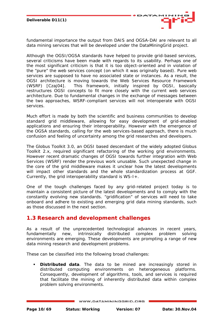

<span id="page-9-0"></span>fundamental importance the output from DAIS and OGSA-DAI are relevant to all data mining services that will be developed under the DataMiningGrid project.

Although the OGSI/OGSA standards have helped to provide grid-based services, several criticisms have been made with regards to its usability. Perhaps one of the most significant criticism is that it is too object-oriented and in violation of the "pure" the web services concept (on which it was originally based). Pure web services are supposed to have no associated state or instances. As a result, the OGSI architecture is moving towards the Web Services Resource Framework (WSRF) [Czaj04]. This framework, initially inspired by OGSI, basically restructures OGSI concepts to fit more closely with the current web services architecture. Due to fundamental changes in the exchange of messages between the two approaches, WSRF-compliant services will not interoperate with OGSI services.

Much effort is made by both the scientific and business communities to develop standard grid middleware, allowing for easy development of grid-enabled applications and ensuring their interoperability. However with the emergence of the OGSA standards, calling for the web services-based approach, there is much confusion and feeling of uncertainty among the grid researches and developers.

The Globus Toolkit 3.0, an OGSI based descendant of the widely adopted Globus Toolkit 2.x, required significant refactoring of the working grid environments. However recent dramatic changes of OGSI towards further integration with Web Services (WSRF) render the previous work unusable. Such unexpected change in the core of the grid middleware makes it unclear how the latest developments will impact other standards and the whole standardization process at GGF. Currently, the grid interoperability standard is WS-I+.

One of the tough challenges faced by any grid-related project today is to maintain a consistent picture of the latest developments and to comply with the constantly evolving new standards. "gridification" of services will need to take onboard and adhere to existing and emerging grid data mining standards, such as those discussed in the next section.

## **1.3 Research and development challenges**

As a result of the unprecedented technological advances in recent years, fundamentally new, intrinsically distributed complex problem solving environments are emerging. These developments are prompting a range of new data mining research and development problems.

These can be classified into the following broad challenges:

 **Distributed data**. The data to be mined are increasingly stored in distributed computing environments on heterogeneous platforms. Consequently, development of algorithms, tools, and services is required that facilitate the mining of inherently distributed data within complex problem solving environments.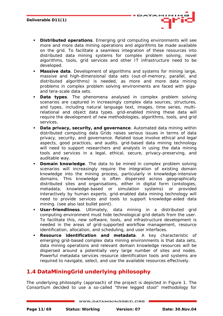<span id="page-10-0"></span> **Distributed operations**. Emerging grid computing environments will see more and more data mining operations and algorithms be made available on the grid. To facilitate a seamless integration of these resources into distributed data mining systems for complex problem solving, novel algorithms, tools, grid services and other IT infrastructure need to be developed.

AT/

- **Massive data**. Development of algorithms and systems for mining large, massive and high-dimensional data sets (out-of-memory, parallel, and distributed algorithms) is needed, as more and more data mining problems in complex problem solving environments are faced with gigaand tera-scale data sets.
- **Data types**. The phenomena analysed in complex problem solving scenarios are captured in increasingly complex data sources, structures, and types, including natural language text, images, time series, multirelational and object data types. grid-enabled mining these data will require the development of new methodologies, algorithms, tools, and grid services.
- **Data privacy, security, and governance**. Automated data mining within distributed computing data Grids raises serious issues in terms of data privacy, security, and governance. Related issue involve ethical and legal aspects, good practices, and audits. grid-based data mining technology will need to support researchers and analysts in using the data mining tools and services in a legal, ethical, secure, privacy-preserving, and auditable way.
- **Domain knowledge**. The data to be mined in complex problem solving scenarios will increasingly require the integration of existing domain knowledge into the mining process, particularly in knowledge-intensive domains. This knowledge is often dispersed across geographically distributed sites and organisations, either in digital form (ontologies, metadata, knowledge-based or simulation systems) or provided interactively by human experts. grid-enabled data mining technology will need to provide services and tools to support knowledge-aided data mining. (see also last bullet point).
- **User-friendliness**. Ultimately, data mining in a distributed grid computing environment must hide technological grid details from the user. To facilitate this, new software, tools, and infrastructure development is needed in the areas of grid-supported workflow management, resource identification, allocation, and scheduling, and user interfaces.
- **Resource identification and metadata**. A key characteristic of emerging grid-based complex data mining environments is that data sets, data mining operations and relevant domain knowledge resources will be dispersed around a potentially very large number of sites and nodes. Powerful metadata services resource identification tools and systems are required to navigate, select, and use the available resources effectively.

## **1.4 DataMiningGrid underlying philosophy**

The underlying philosophy (approach) of the project is depicted in [Figure 1.](#page-11-0) The Consortium decided to use a so-called "three legged stool" methodology for

WWW.DATAMININGGRID.ORG

**Page 11/69 Status: Working Version: 07 Date: 30.Nov.04**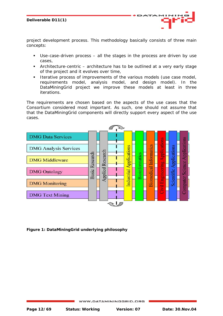

project development process. This methodology basically consists of three main concepts:

- Use-case-driven process all the stages in the process are driven by use cases,
- Architecture-centric architecture has to be outlined at a very early stage of the project and it evolves over time,
- **Iterative process of improvements of the various models (use case model,** requirements model, analysis model, and design model). In the DataMiningGrid project we improve these models at least in three iterations.

The requirements are chosen based on the aspects of the use cases that the Consortium considered most important. As such, one should not assume that that the DataMiningGrid components will directly support every aspect of the use cases.

<span id="page-11-0"></span>

**Figure 1: DataMiningGrid underlying philosophy**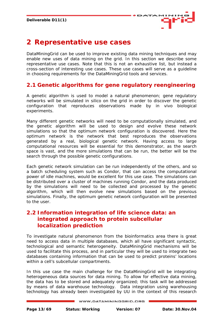

## <span id="page-12-0"></span>**2 Representative use cases**

DataMiningGrid can be used to improve existing data mining techniques and may enable new uses of data mining on the grid. In this section we describe some representative use cases. Note that this is not an exhaustive list, but instead a cross-section of interesting use cases. These use cases will serve as a guideline in choosing requirements for the DataMiningGrid tools and services.

## **2.1 Genetic algorithms for gene regulatory reengineering**

A genetic algorithm is used to model a natural phenomenon; gene regulatory networks will be simulated in silico on the grid in order to discover the genetic configuration that reproduces observations made by in vivo biological experiments.

Many different genetic networks will need to be computationally simulated, and the genetic algorithm will be used to design and evolve these network simulations so that the optimum network configuration is discovered. Here the optimum network is the network that best reproduces the observations generated by a real, biological genetic network. Having access to large computational resources will be essential for this demonstrator, as the search space is vast, and the more simulations that can be run, the better will be the search through the possible genetic configurations.

Each genetic network simulation can be run independently of the others, and so a batch scheduling system such as Condor, that can access the computational power of idle machines, would be excellent for this use case. The simulations can be distributed over a cluster of machines running Condor, and the data produced by the simulations will need to be collected and processed by the genetic algorithm, which will then evolve new simulations based on the previous simulations. Finally, the optimum genetic network configuration will be presented to the user.

## **2.2 Information integration of life science data: an integrated approach to protein subcellular localization prediction**

To investigate natural phenomenon from the bioinformatics area there is great need to access data in multiple databases, which all have significant syntactic, technological and semantic heterogeneity. DataMiningGrid mechanisms will be used to facilitate this process, and in particular they will be used to integrate two databases containing information that can be used to predict proteins' locations within a cell's subcellular compartments.

In this use case the main challenge for the DataMiningGrid will be integrating heterogeneous data sources for data mining. To allow for effective data mining, the data has to be stored and adequately organized; this task will be addressed by means of data warehouse technology. Data integration using warehousing technology has already been investigated by UU in the context of this research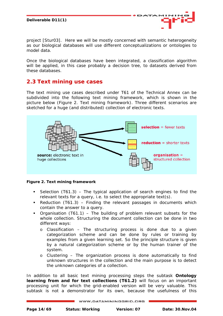<span id="page-13-0"></span>project [Stur03]. Here we will be mostly concerned with semantic heterogeneity as our biological databases will use different conceptualizations or ontologies to model data.

Once the biological databases have been integrated, a classification algorithm will be applied, in this case probably a decision tree, to datasets derived from these databases.

## **2.3 Text mining use cases**

The text mining use cases described under T61 of the Technical Annex can be subdivided into the following text mining framework, which is shown in the picture below ([Figure 2. Text mining framework\)](#page-13-1). Three different scenarios are sketched for a huge (and distributed) collection of electronic texts.

<span id="page-13-1"></span>

#### **Figure 2. Text mining framework**

- Selection  $(T61.3)$  The typical application of search engines to find the relevant texts for a query, i.e. to select the appropriate text(s).
- Reduction  $(T61.3)$  Finding the relevant passages in documents which contain the answer to a query.
- Organisation (T61.1) The building of problem relevant subsets for the whole collection. Structuring the document collection can be done in two different ways:
	- o Classification The structuring process is done due to a given categorization scheme and can be done by rules or training by examples from a given learning set. So the principle structure is given by a natural categorization scheme or by the human trainer of the system.
	- o Clustering The organization process is done automatically to find unknown structures in the collection and the main purpose is to detect the unknown categories of a collection.

In addition to all basic text mining processing steps the subtask **Ontology learning from and for text collections (T61.2)** will focus on an important processing unit for which the grid-enabled version will be very valuable. This subtask is not a demonstrator for its own, because the usefulness of this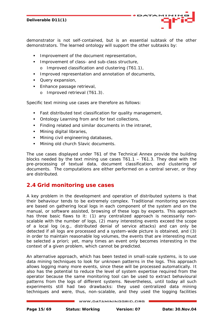<span id="page-14-0"></span>demonstrator is not self-contained, but is an essential subtask of the other demonstrators. The learned ontology will support the other subtasks by:

- **IMPROVEMENT OF the document representation,**
- **IMPROVEMENT OF CLASS- and sub-class structure,** 
	- o Improved classification and clustering (T61.1),
- **IMPROVED FE** Improved representation and annotation of documents,
- **Query expansion,**
- **Enhance passage retrieval,** 
	- o Improved retrieval (T61.3).

Specific text mining use cases are therefore as follows:

- Fast distributed text classification for quality management,
- Ontology Learning from and for text collections,
- Finding related and similar documents in the intranet,
- **Mining digital libraries,**
- **Mining civil engineering databases,**
- **Mining old church Slavic documents.**

The use cases displayed under T61 of the Technical Annex provide the building blocks needed by the text mining use cases T61.1 – T61.3. They deal with the pre-processing of textual data, document classification, and clustering of documents. The computations are either performed on a central server, or they are distributed.

## **2.4 Grid monitoring use cases**

A key problem in the development and operation of distributed systems is that their behaviour tends to be extremely complex. Traditional monitoring services are based on gathering local logs in each component of the system and on the manual, or software assisted, browsing of these logs by experts. This approach has three basic flaws to it: (1) any centralized approach is necessarily nonscalable with the number of logs, (2) many interesting events exceed the scope of a local log (e.g., distributed denial of service attacks) and can only be detected if all logs are processed and a system-wide picture is obtained, and (3) in order to maintain reasonable log volumes, the events that are interesting must be selected a priori; yet, many times an event only becomes interesting in the context of a given problem, which cannot be predicted.

An alternative approach, which has been tested in small-scale systems, is to use data mining techniques to look for unknown patterns in the logs. This approach allows logging many more events, since these will be processed automatically. It also has the potential to reduce the level of system expertise required from the operator because the same monitoring tool can be used to extract behavioural patterns from the logs of different systems. Nevertheless, until today all such experiments still had two drawbacks: they used centralized data mining techniques and were, thus, non-scalable, and they used the logging facilities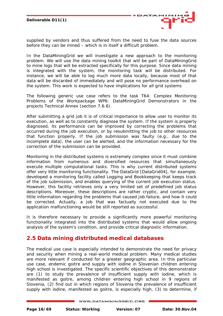

<span id="page-15-0"></span>supplied by vendors and thus suffered from the need to fuse the data sources before they can be mined – which is in itself a difficult problem.

In the DataMiningGrid we will investigate a new approach to the monitoring problem. We will use the data mining toolkit that will be part of DataMiningGrid to mine logs that will be extracted specifically for this purpose. Since data mining is integrated with the system, the monitoring task will be distributed. For instance, we will be able to log much more data locally, because most of that data will be discarded of immediately and will pose no performance overhead on the system. This work is expected to have implications for all grid systems

The following generic use case refers to the task T64: Complex Monitoring Problems of the Workpackage WP6: DataMiningGrid Demonstrators in the projects Technical Annex (section 7.6.6).

After submitting a grid job it is of critical importance to allow user to monitor its execution, as well as to constantly diagnose the system. If the system is properly diagnosed, its performance can be improved by correcting the problems that occurred during the job execution, or by resubmitting the job to other resources that function properly. If the job submission was faulty (e.g., due to the incomplete data), the user can be alerted, and the information necessary for the correction of the submission can be provided.

Monitoring in the distributed systems is extremely complex since it must combine information from numerous and diversified resources that simultaneously execute multiple computational tasks. This is why current distributed systems offer very little monitoring functionality. The DataGrid [DataGrid04], for example, developed a monitoring facility called Logging and Bookkeeping that keeps track of the job submission, and enables querying of the current job execution status. However, this facility retrieves only a very limited set of predefined job status descriptions. Moreover, these descriptions are rather cryptic, and contain very little information regarding the problems that caused job failure, and how it could be corrected. Actually, a job that was factually not executed due to the application malfunctioning would be still reported as successful.

It is therefore necessary to provide a significantly more powerful monitoring functionality integrated into the distributed systems that would allow ongoing analysis of the system's condition, and provide critical diagnostic information.

## **2.5 Data mining distributed medical databases**

The medical use case is especially intended to demonstrate the need for privacy and security when mining a real-world medical problem. Many medical studies are more relevant if conducted for a greater geographic area. In this particular use case, endemic goitre and supply with iodine in Slovenian children entering high school is investigated. The specific scientific objectives of this demonstrator are (1) to study the prevalence of insufficient supply with iodine, which is manifested as goitre, among children entering high school in 9 regions of Slovenia, (2) find out in which regions of Slovenia the prevalence of insufficient supply with iodine, manifested as goitre, is especially high, (3) to determine, if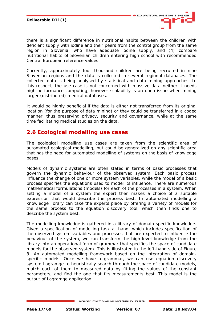

<span id="page-16-0"></span>there is a significant difference in nutritional habits between the children with deficient supply with iodine and their peers from the control group from the same region in Slovenia, who have adequate iodine supply, and (4) compare nutritional habits of Slovenian children entering high school with recommended Central European reference values.

Currently, approximately four thousand children are being recruited in nine Slovenian regions and the data is collected in several regional databases. The collected data is being analysed by statistical and data mining approaches. In this respect, the use case is not concerned with massive data neither it needs high-performance computing, however scalability is an open issue when mining larger (distributed) medical databases.

It would be highly beneficial if the data is either not transferred from its original location (for the purpose of data mining) or they could be transferred in a coded manner, thus preserving privacy, security and governance, while at the same time facilitating medical studies on the data.

## **2.6 Ecological modelling use cases**

The ecological modelling use cases are taken from the scientific area of automated ecological modelling, but could be generalized on any scientific area that has the need for automated modelling of systems on the basis of knowledge bases.

Models of dynamic systems are often stated in terms of basic processes that govern the dynamic behaviour of the observed system. Each basic process influence the change of one or more system variables, while the model of a basic process specifies the equations used to model its influence. There are numerous mathematical formulations (models) for each of the processes in a system. When setting a model of a system the expert then makes a choice of a suitable expression that would describe the process best. In automated modelling a knowledge library can take the experts place by offering a variety of models for the same process to the equation discovery tool, which then finds one to describe the system best.

The modelling knowledge is gathered in a library of domain-specific knowledge. Given a specification of modelling task at hand, which includes specification of the observed system variables and processes that are expected to influence the behaviour of the system, we can transform the high-level knowledge from the library into an operational form of grammar that specifies the space of candidate models for the observed system. This is illustrated in the left-hand side of [Figure](#page-17-0) [3: An automated modelling framework based](#page-17-0) on the integration of domain[specific models.](#page-17-0) Once we have a grammar, we can use equation discovery system Lagramge to heuristically search through the space of candidate models, match each of them to measured data by fitting the values of the constant parameters, and find the one that fits measurements best. This model is the output of Lagramge application.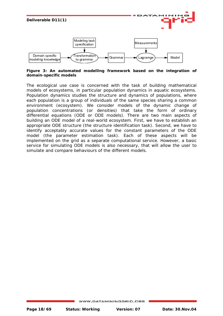

<span id="page-17-0"></span>**Figure 3: An automated modelling framework based on the integration of domain-specific models** 

The ecological use case is concerned with the task of building mathematical models of ecosystems, in particular population dynamics in aquatic ecosystems. Population dynamics studies the structure and dynamics of populations, where each population is a group of individuals of the same species sharing a common environment (ecosystem). We consider models of the dynamic change of population concentrations (or densities) that take the form of ordinary differential equations (ODE or ODE models). There are two main aspects of building an ODE model of a real-world ecosystem. First, we have to establish an appropriate ODE structure (the structure identification task). Second, we have to identify acceptably accurate values for the constant parameters of the ODE model (the parameter estimation task). Each of these aspects will be implemented on the grid as a separate computational service. However, a basic service for simulating ODE models is also necessary, that will allow the user to simulate and compare behaviours of the different models.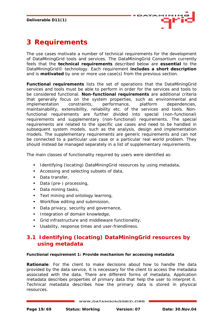

# <span id="page-18-0"></span>**3 Requirements**

The use cases motivate a number of technical requirements for the development of DataMiningGrid tools and services. The DataMiningGrid Consortium currently feels that the **technical requirements** described below are **essential** to the DataMiningGrid© technology. Each requirement **includes a short description** and is **motivated** by one or more use case(s) from the previous section.

**Functional requirements** lists the set of operations that the DataMiningGrid services and tools must be able to perform in order for the services and tools to be considered functional. **Non-functional requirements** are additional criteria that generally focus on the system properties, such as environmental and implementation constraints, performance, platform dependencies, maintainability, extensibility, reliability etc. of the services and tools. Nonfunctional requirements are further divided into special (non-functional) requirements and supplementary (non-functional) requirements. The special requirements are related to the specific use cases and need to be handled in subsequent system models, such as the analysis, design and implementation models. The supplementary requirements are generic requirements and can not be connected to a particular use case or a particular real world problem. They should instead be managed separately in a list of supplementary requirements.

The main classes of functionality required by users were identified as:

- **IDENTIFY IDENTIFY** Identifying (locating) DataMiningGrid resources by using metadata,
- Accessing and selecting subsets of data,
- Data transfer,
- Data (pre-) processing,
- Data mining tasks,
- **Text mining and ontology learning,**
- **Workflow editing and submission,**
- Data privacy, security and governance,
- **Integration of domain knowledge,**
- Grid infrastructure and middleware functionality,
- Usability, response times and user-friendliness.

## **3.1 Identifying (locating) DataMiningGrid resources by using metadata**

#### **Functional requirement 1: Provide mechanism for accessing metadata**

*Rationale*: For the client to make decisions about how to handle the data provided by the data service, it is necessary for the client to access the metadata associated with the data. There are different forms of metadata. Application metadata describes properties of primary data that help the user to interpret it. Technical metadata describes how the primary data is stored in physical resources.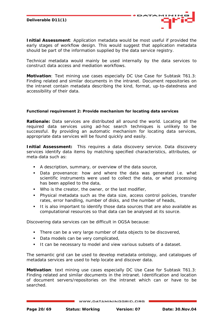*Initial Assessment*: Application metadata would be most useful if provided the early stages of workflow design. This would suggest that application metadata should be part of the information supplied by the data service registry.

**ATA** 

Technical metadata would mainly be used internally by the data services to construct data access and mediation workflows.

*Motivation*: Text mining use cases especially DC Use Case for Subtask T61.3: Finding related and similar documents in the intranet. Document repositories on the intranet contain metadata describing the kind, format, up-to-datedness and accessibility of their data.

#### **Functional requirement 2: Provide mechanism for locating data services**

*Rationale:* Data services are distributed all around the world. Locating all the required data services using ad-hoc search techniques is unlikely to be successful. By providing an automatic mechanism for locating data services, appropriate data services will be found quickly and easily.

**Initial Assessment:** This requires a data discovery service. Data discovery services identify data items by matching specified characteristics, attributes, or meta-data such as:

- A description, summary, or overview of the data source,
- Data provenance: how and where the data was generated i.e. what scientific instruments were used to collect the data, or what processing has been applied to the data,
- Who is the creator, the owner, or the last modifier,
- Physical metadata such as the data size, access control policies, transfer rates, error handling, number of disks, and the number of heads,
- It is also important to identify those data sources that are also available as computational resources so that data can be analysed at its source.

Discovering data services can be difficult in OGSA because:

- There can be a very large number of data objects to be discovered,
- Data models can be very complicated,
- It can be necessary to model and view various subsets of a dataset.

The semantic grid can be used to develop metadata ontology, and catalogues of metadata services are used to help locate and discover data.

*Motivation*: text mining use cases especially DC Use Case for Subtask T61.3: Finding related and similar documents in the intranet. Identification and location of document servers/repositories on the intranet which can or have to be searched.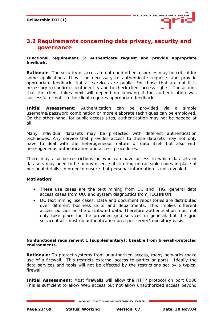

## <span id="page-20-0"></span>**3.2 Requirements concerning data privacy, security and governance**

#### **Functional requirement 3: Authenticate request and provide appropriate feedback.**

*Rationale*: The security of access to data and other resources may be critical for some applications. It will be necessary to authenticate requests and provide appropriate feedback. Not all services are public. For those that are not it is necessary to confirm client identity and to check client access rights. The actions that the client takes next will depend on knowing if the authentication was successful or not, so the client requires appropriate feedback.

*Initial Assessment:* Authentication can be provided via a simple username/password combination or more elaborate techniques can be employed. On the other hand, for public access sites, authentication may not be needed at all.

Many individual datasets may be protected with different authentication techniques. Any service that provides access to these datasets may not only have to deal with the heterogeneous nature of data itself but also with heterogeneous authentication and access procedures.

There may also be restrictions on who can have access to which datasets or datasets may need to be anonymised (substituting untraceable codes in place of personal details) in order to ensure that personal information is not revealed.

## *Motivation:*

- These use cases are the text mining from DC and FHG, general data access cases from UU, and system diagnostics from TECHNION,
- DC text mining use cases: Data and document repositories are distributed over different business units and departments. This implies different access policies on the distributed data. Therefore authentication must not only take place for the provided grid services in general, but the grid service itself must do authentication on a per server/repository basis.

## **Nonfunctional requirement 1 (supplementary): Useable from firewall-protected environments.**

**Rationale:** To protect systems from unauthorized access, many networks make use of a firewall. This restricts external access to particular ports. Ideally the data services and tools will not be affected by the restrictions set by a typical firewall.

**Initial Assessment:** Most firewalls will allow the HTTP protocol on port 8080 This is sufficient to allow Web access but not allow unauthorized access beyond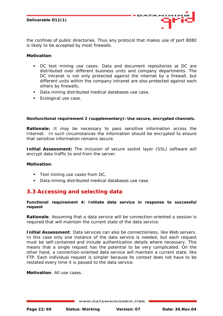**ATA** 

<span id="page-21-0"></span>the confines of public directories. Thus any protocol that makes use of port 8080 is likely to be accepted by most firewalls.

## *Motivation:*

- DC text mining use cases: Data and document repositories at DC are distributed over different business units and company departments. The DC intranet is not only protected against the internet by a firewall, but different units within the company intranet are also protected against each others by firewalls,
- Data mining distributed medical databases use case,
- **Ecological use case.**

## **Nonfunctional requirement 2 (supplementary): Use secure, encrypted channels.**

**Rationale:** It may be necessary to pass sensitive information across the Internet. In such circumstances the information should be encrypted to ensure that sensitive information remains secure.

**Initial Assessment:** The inclusion of secure socket layer (SSL) software will encrypt data traffic to and from the server.

## *Motivation*:

- **Text mining use cases from DC,**
- Data mining distributed medical databases use case.

## **3.3 Accessing and selecting data**

#### **Functional requirement 4: Initiate data service in response to successful request**

*Rationale*: Assuming that a data service will be connection-oriented a session is required that will maintain the current state of the data service.

*Initial Assessment*: Data services can also be connectionless, like Web servers. In this case only one instance of the data service is needed, but each request must be self-contained and include authentication details where necessary. This means that a single request has the potential to be very complicated. On the other hand, a connection-oriented data service will maintain a current state, like FTP. Each individual request is simpler because its context does not have to be restated every time it is passed to the data service.

*Motivation*: All use cases.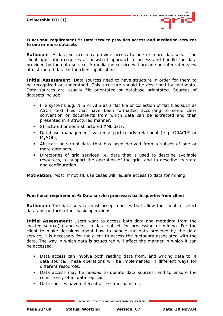

#### **Functional requirement 5: Data service provides access and mediation services to one or more datasets**

*Rationale*: A data service may provide access to one or more datasets. The client application requires a consistent approach to access and handle the data provided by the data service. A mediation service will provide an integrated view of distributed data to the client application.

*Initial Assessment*: Data sources need to have structure in order for them to be recognized or understood. This structure should be described by metadata. Data sources are usually file orientated or database orientated. Sources of datasets include:

- File systems e.g. NFS or AFS as a flat file or collection of flat files such as ASCII text files that have been formatted according to some clear convention or documents from which data can be extracted and then presented in a structured manner,
- Structured or semi-structured XML data,
- Database management systems: particularly relational (e.g. ORACLE or MySQL),
- Abstract or virtual data that has been derived from a subset of one or more data sets,
- Directories of grid services i.e. data that is used to describe available resources, to support the operation of the grid, and to describe its state and configuration.

*Motivation*: Most, if not all, use cases will require access to data for mining.

## **Functional requirement 6: Data service processes basic queries from client**

**Rationale:** The data service must accept queries that allow the client to select data and perform other basic operations.

*Initial Assessment:* Users want to access both data and metadata from the located source(s) and select a data subset for processing or mining. For the client to make decisions about how to handle the data provided by the data service, it is necessary for the client to access the metadata associated with the data. The way in which data is structured will affect the manner in which it can be accessed:

- Data access can involve both reading data from, and writing data to, a data source. These operations will be implemented in different ways for different resources,
- Data access may be needed to update data sources, and to ensure the consistency of all data replicas,
- Data sources have different access mechanisms: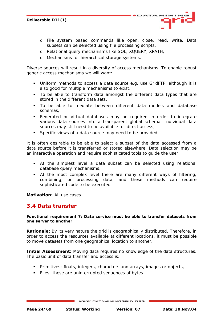<span id="page-23-0"></span>o File system based commands like open, close, read, write. Data subsets can be selected using file processing scripts,

**ATA** 

- o Relational query mechanisms like SQL, XQUERY, XPATH,
- o Mechanisms for hierarchical storage systems.

Diverse sources will result in a diversity of access mechanisms. To enable robust generic access mechanisms we will want:

- Uniform methods to access a data source e.g. use GridFTP, although it is also good for multiple mechanisms to exist,
- To be able to transform data amongst the different data types that are stored in the different data sets,
- To be able to mediate between different data models and database schemas,
- Federated or virtual databases may be required in order to integrate various data sources into a transparent global schema. Individual data sources may still need to be available for direct access,
- **Specific views of a data source may need to be provided.**

It is often desirable to be able to select a subset of the data accessed from a data source before it is transferred or stored elsewhere. Data selection may be an interactive operation and require sophisticated tools to guide the user:

- At the simplest level a data subset can be selected using relational database query mechanisms,
- At the most complex level there are many different ways of filtering, combining, or processing data, and these methods can require sophisticated code to be executed.

*Motivation*: All use cases.

## **3.4 Data transfer**

#### **Functional requirement 7: Data service must be able to transfer datasets from one server to another**

**Rationale:** By its very nature the grid is geographically distributed. Therefore, in order to access the resources available at different locations, it must be possible to move datasets from one geographical location to another.

**Initial Assessment:** Moving data requires no knowledge of the data structures. The basic unit of data transfer and access is:

- Primitives: floats, integers, characters and arrays, images or objects,
- Files: these are uninterrupted sequences of bytes.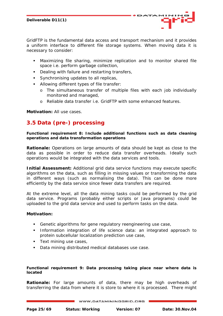<span id="page-24-0"></span>GridFTP is the fundamental data access and transport mechanism and it provides a uniform interface to different file storage systems. When moving data it is necessary to consider:

 Maximizing file sharing, minimize replication and to monitor shared file space i.e. perform garbage collection,

**ATA** 

- Dealing with failure and restarting transfers,
- **Synchronising updates to all replicas,**
- **Allowing different types of file transfer:** 
	- o The simultaneous transfer of multiple files with each job individually monitored and managed,
	- o Reliable data transfer i.e. GridFTP with some enhanced features.

*Motivation:* All use cases.

## **3.5 Data (pre-) processing**

**Functional requirement 8: Include additional functions such as data cleaning operations and data transformation operations** 

*Rationale:* Operations on large amounts of data should be kept as close to the data as possible in order to reduce data transfer overheads. Ideally such operations would be integrated with the data services and tools.

*Initial Assessment:* Additional grid data service functions may execute specific algorithms on the data, such as filling in missing values or transforming the data in different ways (such as normalising the data). This can be done more efficiently by the data service since fewer data transfers are required.

At the extreme level, all the data mining tasks could be performed by the grid data service. Programs (probably either scripts or Java programs) could be uploaded to the grid data service and used to perform tasks on the data.

## *Motivation:*

- Genetic algorithms for gene regulatory reengineering use case,
- **Information integration of life science data: an integrated approach to** protein subcellular localization prediction use case,
- **Text mining use cases,**
- Data mining distributed medical databases use case.

#### **Functional requirement 9: Data processing taking place near where data is located**

*Rationale:* For large amounts of data, there may be high overheads of transferring the data from where it is store to where it is processed. There might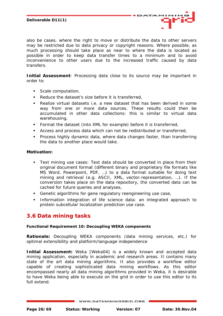

<span id="page-25-0"></span>also be cases, where the right to move or distribute the data to other servers may be restricted due to data privacy or copyright reasons. Where possible, as much processing should take place as near to where the data is located as possible in order to keep data transfer times to a minimum and to avoid inconvenience to other users due to the increased traffic caused by data transfers.

**Initial Assessment**: Processing data close to its source may be important in order to:

- Scale computation,
- Reduce the dataset's size before it is transferred,
- Realize virtual datasets i.e. a new dataset that has been derived in some way from one or more data sources. These results could then be accumulated in other data collections: this is similar to virtual data warehousing,
- Format the dataset (into XML for example) before it is transferred,
- Access and process data which can not be redistributed or transferred,
- **Process highly dynamic data, where data changes faster, than transferring** the data to another place would take.

## *Motivation:*

- Text mining use cases: Text data should be converted in place from their original document format (different binary and proprietary file formats like MS Word, Powerpoint, PDF, …) to a data format suitable for doing text mining and retrieval (e.g. ASCII, XML, vector-representation, …). If the conversion takes place on the data repository, the converted data can be cached for future queries and analyses,
- Genetic algorithms for gene regulatory reengineering use case,
- **Information integration of life science data: an integrated approach to** protein subcellular localization prediction use case.

## **3.6 Data mining tasks**

## **Functional Requirement 10: Decoupling WEKA components**

*Rationale:* Decoupling WEKA components (data mining services, etc.) for optimal extensibility and platform/language independence

**Initial Assessment:** Weka [Weka04] is a widely known and accepted data mining application, especially in academic and research areas. It contains many state of the art data mining algorithms. It also provides a workflow editor capable of creating sophisticated data mining workflows. As this editor encompassed nearly all data mining algorithms provided in Weka, it is desirable to have Weka being able to execute on the grid in order to use this editor to its full extend.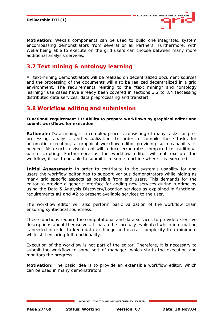<span id="page-26-0"></span>



*Motivation:* Weka's components can be used to build one integrated system encompassing demonstrators from several or all Partners. Furthermore, with Weka being able to execute on the grid users can choose between many more additional analysis services.

## **3.7 Text mining & ontology learning**

All text-mining demonstrators will be realized on decentralized document sources and the processing of the documents will also be realized decentralized in a grid environment. The requirements relating to the "text mining" and "ontology learning" use cases have already been covered in sections 3.2 to 3.4 (accessing distributed data services, data preprocessing and transfer).

## **3.8 Workflow editing and submission**

**Functional requirement 11: Ability to prepare workflows by graphical editor and submit workflows for execution**

*Rationale:* Data mining is a complex process consisting of many tasks for preprocessing, analysis, and visualization. In order to compile these tasks for automatic execution, a graphical workflow editor providing such capability is needed. Also such a visual tool will reduce error rates compared to traditional batch scripting. Furthermore as the workflow editor will not execute the workflow, it has to be able to submit it to some machine where it is executed.

**Initial Assessment:** In order to contribute to the system's usability for end users the workflow editor has to support various demonstrators while hiding as many grid specific aspects as possible from end users. This demands for the editor to provide a generic interface for adding new services during runtime by using the Data & Analysis Discovery/Location services as explained in functional requirements #1 and #2 to present available services to the user.

The workflow editor will also perform basic validation of the workflow chain ensuring syntactical soundness.

These functions require the computational and data services to provide extensive descriptions about themselves. It has to be carefully evaluated which information is needed in order to keep data exchange and overall complexity to a minimum while still ensuring full functionality.

Execution of the workflow is not part of the editor. Therefore, it is necessary to submit the workflow to some sort of manager, which starts the execution and monitors the progress.

*Motivation:* The basic idea is to provide an extensible workflow editor, which can be used in many demonstrators.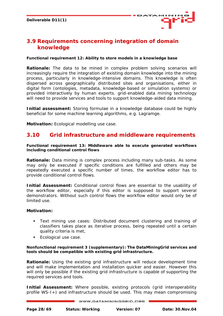

## <span id="page-27-0"></span>**3.9 Requirements concerning integration of domain knowledge**

#### **Functional requirement 12: Ability to store models in a knowledge base**

*Rationale:* The data to be mined in complex problem solving scenarios will increasingly require the integration of existing domain knowledge into the mining process, particularly in knowledge-intensive domains. This knowledge is often dispersed across geographically distributed sites and organisations, either in digital form (ontologies, metadata, knowledge-based or simulation systems) or provided interactively by human experts. grid-enabled data mining technology will need to provide services and tools to support knowledge-aided data mining.

**Initial assessment:** Storing formulae in a knowledge database could be highly beneficial for some machine learning algorithms, e.g. Lagramge.

*Motivation:* Ecological modelling use case.

## **3.10 Grid infrastructure and middleware requirements**

**Functional requirement 13: Middleware able to execute generated workflows including conditional control flows**

*Rationale:* Data mining is complex process including many sub-tasks. As some may only be executed if specific conditions are fulfilled and others may be repeatedly executed a specific number of times, the workflow editor has to provide conditional control flows.

*Initial Assessment:* Conditional control flows are essential to the usability of the workflow editor, especially if this editor is supposed to support several demonstrators. Without such control flows the workflow editor would only be of limited use.

## *Motivation:*

- Text mining use cases: Distributed document clustering and training of classifiers takes place as iterative process, being repeated until a certain quality criteria is met,
- **Ecological use case.**

#### **Nonfunctional requirement 3 (supplementary): The DataMiningGrid services and tools should be compatible with existing grid infrastructure.**

*Rationale:* Using the existing grid infrastructure will reduce development time and will make implementation and installation quicker and easier. However this will only be possible if the existing grid infrastructure is capable of supporting the required services and tools.

**Initial Assessment:** Where possible, existing protocols (grid interoperability profile WS-I+) and infrastructure should be used. This may mean compromising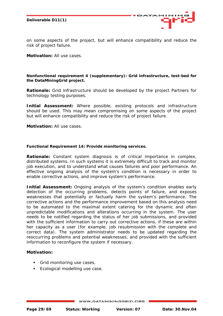

on some aspects of the project, but will enhance compatibility and reduce the risk of project failure.

*Motivation:* All use cases.

#### **Nonfunctional requirement 4 (supplementary): Grid infrastructure, test-bed for the DataMiningGrid project.**

*Rationale:* Grid infrastructure should be developed by the project Partners for technology testing purposes.

**Initial Assessment:** Where possible, existing protocols and infrastructure should be used. This may mean compromising on some aspects of the project but will enhance compatibility and reduce the risk of project failure.

*Motivation:* All use cases.

#### **Functional Requirement 14: Provide monitoring services.**

*Rationale:* Constant system diagnosis is of critical importance in complex, distributed systems. In such systems it is extremely difficult to track and monitor job execution, and to understand what causes failures and poor performance. An effective ongoing analysis of the system's condition is necessary in order to enable corrective actions, and improve system's performance.

**Initial Assessment:** Ongoing analysis of the system's condition enables early detection of the occurring problems, detects points of failure, and exposes weaknesses that potentially or factually harm the system's performance. The corrective actions and the performance improvement based on this analysis need to be automated to the maximal extent catering for the dynamic and often unpredictable modifications and alterations occurring in the system. The user needs to be notified regarding the status of her job submissions, and provided with the sufficient information to carry out corrective actions, if these are within her capacity as a user (for example, job resubmission with the complete and correct data). The system administrator needs to be updated regarding the reoccurring problems and potential weaknesses, and provided with the sufficient information to reconfigure the system if necessary.

## *Motivation:*

- Grid monitoring use cases,
- **Ecological modelling use case.**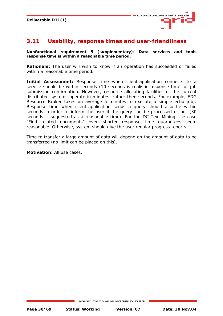

## <span id="page-29-0"></span>**3.11 Usability, response times and user-friendliness**

**Nonfunctional requirement 5 (supplementary): Data services and tools response time is within a reasonable time period.** 

**Rationale:** The user will wish to know if an operation has succeeded or failed within a reasonable time period.

**Initial Assessment:** Response time when client-application connects to a service should be within seconds (10 seconds is realistic response time for job submission confirmation. However, resource allocating facilities of the current distributed systems operate in minutes, rather then seconds. For example, EDG Resource Broker takes on average 5 minutes to execute a simple echo job). Response time when client-application sends a query should also be within seconds in order to inform the user if the query can be processed or not (30 seconds is suggested as a reasonable time). For the DC Text-Mining Use case "Find related documents" even shorter response time guarantees seem reasonable. Otherwise, system should give the user regular progress reports.

Time to transfer a large amount of data will depend on the amount of data to be transferred (no limit can be placed on this).

*Motivation:* All use cases.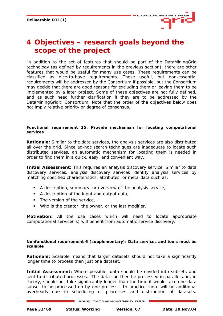

# <span id="page-30-0"></span>**4 Objectives – research goals beyond the scope of the project**

In addition to the set of features that should be part of the DataMiningGrid technology (as defined by requirements in the previous section), there are other features that would be useful for many use cases. These requirements can be classified as nice-to-have requirements. These useful, but non-essential requirements will be addressed by the Consortium if possible, but the Consortium may decide that there are good reasons for excluding them or leaving them to be implemented by a later project. Some of these objectives are not fully defined, and as such need further clarification if they are to be addressed by the DataMiningGrid© Consortium. Note that the order of the objectives below does not imply relative priority or degree of consensus.

#### **Functional requirement 15: Provide mechanism for locating computational services**

*Rationale:* Similar to the data services, the analysis services are also distributed all over the grid. Since ad-hoc search techniques are inadequate to locate such distributed services, an automatic mechanism for locating them is needed in order to find them in a quick, easy, and convenient way.

**Initial Assessment:** This requires an analysis discovery service. Similar to data discovery services, analysis discovery services identify analysis services by matching specified characteristics, attributes, or meta-data such as:

- A description, summary, or overview of the analysis service,
- A description of the input and output data,
- The version of the service.
- Who is the creator, the owner, or the last modifier.

*Motivation:* All the use cases which will need to locate appropriate computational service(-s) will benefit from automatic service discovery.

#### **Nonfunctional requirement 6 (supplementary): Data services and tools must be scalable**

**Rationale:** Scalable means that larger datasets should not take a significantly longer time to process than just one dataset.

*Initial Assessment:* Where possible, data should be divided into subsets and sent to distributed processes. The data can then be processed in parallel and, in theory, should not take significantly longer than the time it would take one data subset to be processed on by one process. In practice there will be additional overheads due to scheduling of processes and distribution of datasets.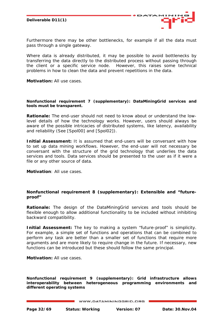

Furthermore there may be other bottlenecks, for example if all the data must pass through a single gateway.

Where data is already distributed, it may be possible to avoid bottlenecks by transferring the data directly to the distributed process without passing through the client or a specific service node. However, this raises some technical problems in how to clean the data and prevent repetitions in the data.

*Motivation:* All use cases.

#### **Nonfunctional requirement 7 (supplementary): DataMiningGrid services and tools must be transparent.**

*Rationale:* The end-user should not need to know about or understand the lowlevel details of how the technology works. However, users should always be aware of the possible intricacies of distributed systems, like latency, availability and reliability (See [Spol00] and [Spol02]).

**Initial Assessment:** It is assumed that end-users will be conversant with how to set up data mining workflows. However, the end-user will not necessary be conversant with the structure of the grid technology that underlies the data services and tools. Data services should be presented to the user as if it were a file or any other source of data.

*Motivation*: All use cases.

## **Nonfunctional requirement 8 (supplementary): Extensible and "futureproof"**

**Rationale:** The design of the DataMiningGrid services and tools should be flexible enough to allow additional functionality to be included without inhibiting backward compatibility.

**Initial Assessment:** The key to making a system "future-proof" is simplicity. For example, a simple set of functions and operations that can be combined to perform any task are better than a smaller set of functions that require more arguments and are more likely to require change in the future. If necessary, new functions can be introduced but these should follow the same principal.

*Motivation:* All use cases.

**Nonfunctional requirement 9 (supplementary): Grid infrastructure allows interoperability between heterogeneous programming environments and different operating systems**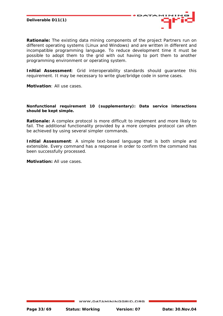

**Rationale:** The existing data mining components of the project Partners run on different operating systems (Linux and Windows) and are written in different and incompatible programming language. To reduce development time it must be possible to adopt them to the grid with out having to port them to another programming environment or operating system.

*Initial Assessment*: Grid interoperability standards should guarantee this requirement. It may be necessary to write glue/bridge code in some cases.

*Motivation*: All use cases.

#### **Nonfunctional requirement 10 (supplementary): Data service interactions should be kept simple.**

*Rationale***:** A complex protocol is more difficult to implement and more likely to fail. The additional functionality provided by a more complex protocol can often be achieved by using several simpler commands.

*Initial Assessment*: A simple text-based language that is both simple and extensible. Every command has a response in order to confirm the command has been successfully processed.

*Motivation:* All use cases.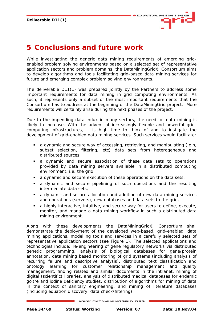

# <span id="page-33-0"></span>**5 Conclusions and future work**

While investigating the generic data mining requirements of emerging gridenabled problem solving environments based on a selected set of representative application sectors and problem domains, the DataMiningGrid© Consortium aims to develop algorithms and tools facilitating grid-based data mining services for future and emerging complex problem solving environments.

The deliverable D11(1) was prepared jointly by the Partners to address some important requirements for data mining in grid computing environments. As such, it represents only a subset of the most important requirements that the Consortium has to address at the beginning of the DataMiningGrid project. More requirements will certainly arise during the next phases of the project.

Due to the impending data influx in many sectors, the need for data mining is likely to increase. With the advent of increasingly flexible and powerful gridcomputing infrastructures, it is high time to think of and to instigate the development of grid-enabled data mining services. Such services would facilitate:

- a dynamic and secure way of accessing, retrieving, and manipulating (join, subset selection, filtering, etc) data sets from heterogeneous and distributed sources,
- a dynamic and secure association of these data sets to operations provided by data mining servers available in a distributed computing environment, i.e. the grid,
- a dynamic and secure execution of these operations on the data sets,
- a dynamic and secure pipelining of such operations and the resulting intermediate data sets,
- a dynamic and secure allocation and addition of new data mining services and operations (servers), new databases and data sets to the grid,
- a highly interactive, intuitive, and secure way for users to define, execute, monitor, and manage a data mining workflow in such a distributed data mining environment.

Along with these developments the DataMiningGrid© Consortium shall demonstrate the deployment of the developed web-based, grid-enabled, data mining applications, modelling tools and services in a carefully selected sets of representative application sectors (see Figure 1). The selected applications and technologies include: re-engineering of gene regulatory networks via distributed genetic programming, analysis of biological databases for gene/protein annotation, data mining based monitoring of grid systems (including analysis of recurring failure and descriptive analysis), distributed text classification and ontology learning for customer relationship management and quality management, finding related and similar documents in the intranet, mining of digital (scientific) libraries, analysis of distributed medical databases for endemic goitre and iodine deficiency studies, distribution of algorithms for mining of data in the context of sanitary engineering, and mining of literature databases (including equation discovery, data check/filtering).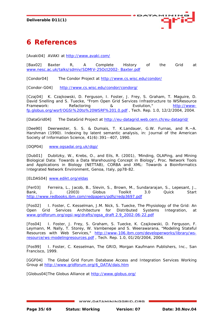

# <span id="page-34-0"></span>**6 References**

[Avaki04] AVAKI at<http://www.avaki.com/>

[Bax02] Baxter R, A Complete History of the Grid at [www.nesc.ac.uk/talks/sdmiv/SDMIV-25Oct2002- Baxter.pdf](http://www.nesc.ac.uk/talks/sdmiv/SDMIV-25Oct2002- Baxter.pdf)

[Condor04] The Condor Project at<http://www.cs.wisc.edu/condor/>

[Condor-G04] <http://www.cs.wisc.edu/condor/condorg/>

[Czaj04] K. Czajkowski, D. Ferguson, I. Foster, J. Frey, S. Graham, T. Maguire, D. David Snelling and S. Tuecke, "From Open Grid Services Infrastructure to WSResource Framework: Refactoring 8 Evolution," [http://www](http://www-fp.globus.org/wsrf/OGSI to WSRF 1.0.pdf)[fp.globus.org/wsrf/OGSI%20to%20WSRF%201.0.pdf](http://www-fp.globus.org/wsrf/OGSI to WSRF 1.0.pdf) , Tech. Rep. 1.0, 12/2/2004, 2004.

[DataGrid04] The DataGrid Project at<http://eu-datagrid.web.cern.ch/eu-datagrid/>

[Dee90] Deerwester, S. S. & Dumais, T. K.Landauer, G.W. Furnas, and R.~A. Harshman (1990). Indexing by latent semantic analysis, in: Journal of the American Society of Information Science, 41(6):391--407, 1990.

[DQP04] [www.ogsadai.org.uk/dqp/](http://www.ogsadai.org.uk/dqp/%5d)

[Dub01] Dubitzky, W., Krebs, O., and Eils, R. (2001), 'Minding, OLAPing, and Mining Biological Data: Towards a Data Warehousing Concept in Biology', Proc. Network Tools and Applications in Biology (NETTAB), CORBA and XML: Towards a Bioinformatics Integrated Network Environment, Genoa, Italy, pp78-82.

[ELDAS04] [www.edikt.org/eldas](http://www.edikt.org/eldas)

[Fer03] Ferreira, L., Jacob, B., Slevin, S., Brown, M., Sundararajan, S., Lepesant, J., Bank, J. (2003) Globus Toolkit 3.0 Quick Start <http://www.redbooks.ibm.com/redpapers/pdfs/redp3697.pdf>

[Fos02] I. Foster, C. Kesselman, J.M. Nick, S. Tuecke, The Physiology of the Grid: An Open Grid Services Architecture for Distributed Systems Integration, at [www.gridforum.org/ogsi-wg/drafts/ogsa\\_draft 2.9\\_2002-06-22.pdf](http://www.gridforum.org/ogsi-wg/drafts/ogsa_draft 2.9_2002-06-22.pdf)

[Fos04] I. Foster, J. Frey, S. Graham, S. Tuecke, K. Czajkowski, D. Ferguson, F. Leymann, M. Nally, T. Storey, W. Vambenepe and S. Weerawarana, "Modeling Stateful Resources with Web Services," [http://www-106.ibm.com/developerworks/library/ws](http://www-106.ibm.com/developerworks/library/ws-resource/ws-modelingresources.pdf)[resource/ws-modelingresources.pdf](http://www-106.ibm.com/developerworks/library/ws-resource/ws-modelingresources.pdf) , Tech. Rep. 1.0, 01/20/2004, 2004.

[Fos99] I. Foster, C. Kesselman, The GRID, Morgan Kaufmann Publishers, Inc., San Francisco, 1999.

[GGF04] The Global Grid Forum Database Access and Integration Services Working Group at [http://www.gridforum.org/6\\_DATA/dais.htm](http://www.gridforum.org/6_DATA/dais.htm) 

[Globus04] The Globus Alliance at <http://www.globus.org/>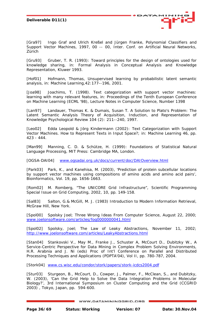

[Gra97] Ingo Graf and Ulrich Kreßel and Jürgen Franke, Polynomial Classifiers and Support Vector Machines, 1997, 00 -- 00, Inter. Conf. on Artificial Neural Networks, Zürich

[Gru93] Gruber, T. R. (1993): Toward principles for the design of ontologies used for knowledge sharing, in: Formal Analysis in Conceptual Analysis and Knowledge Representation, Kluwer 1993.

[Hof01] Hofmann, Thomas, Unsupervised learning by probabilistic latent semantic analysis, in: Machine Learning,42:177--196, 2001.

[Joa98] Joachims, T. (1998). Text categorization with support vector machines: learning with many relevant features, in: Proceedings of the Tenth European Conference on Machine Learning (ECML '98), Lecture Notes in Computer Science, Number 1398

[Lan97] Landauer, Thomas K. & Dumais, Susan T. A Solution to Plato's Problem: The Latent Semantic Analysis Theory of Acquisition, Induction, and Representation of Knowledge Psychological Review 104 (2): 211--240, 1997.

[Leo02] Edda Leopold & Jörg Kindermann (2002): Text Categorization with Support Vector Machines. How to Represent Texts in Input Space?; in: Machine Learning 46, pp. 423 - 444.

[Man99] Manning, C. D. & Schütze, H. (1999): Foundations of Statistical Natural Language Processing, MIT Press: Cambridge MA, London.

[OGSA-DAI04] [www.ogsadai.org.uk/docs/current/doc/DAIOverview.html](http://www.ogsadai.org.uk/docs/current/doc/DAIOverview.html)

[Park03] Park, K., and Kanehisa, M. (2003), 'Prediction of protein subcellular locations by support vector machines using compositions of amino acids and amino acid pairs', Bioinformatics, Vol. 19, pp. 1656-1663.

[Rom02] M. Romberg, "The UNICORE Grid Infrastructure", Scientific Programming Special Issue on Grid Computing, 2002, 10, pp. 149-158.

[Sal83] Salton, G.& McGill, M. J. (1983) Introduction to Modern Information Retrieval, McGraw Hill, New York.

[Spol00] Spolsky Joel; Three Wrong Ideas From Computer Science, August 22, 2000; [www.joelonsoftware.com/articles/fog0000000041.html](http://www.joelonsoftware.com/articles/fog0000000041.html)

[Spol02] Spolsky, Joel; The Law of Leaky Abstractions, November 11, 2002; <http://www.joelonsoftware.com/articles/LeakyAbstractions.html>

[Stan04] Stankovski V., May M., Franke J., Schuster A, McCourt D., Dubitzky W., A Service-Centric Perspective for Data Mining in Complex Problem Solving Environments, H.R. Arabnia and J. Ni (eds) Proc of Int'l Conference on Parallel and Distributed Processing Techniques and Applications (PDPTA'04), Vol II, pp. 780-787, 2004.

[Stork04] [www.cs.wisc.edu/condor/stork/papers/stork-icdcs2004.pdf](http://www.cs.wisc.edu/condor/stork/papers/stork-icdcs2004.pdf)

[Stur03] Sturgeon, B., McCourt, D., Cowper, J., Palmer, F., McClean, S., and Dubitzky, W. (2003), 'Can the Grid Help to Solve the Data Integration Problems in Molecular Biology?', 3rd International Symposium on Cluster Computing and the Grid (CCGRID 2003) , Tokyo, Japan, pp. 594-600.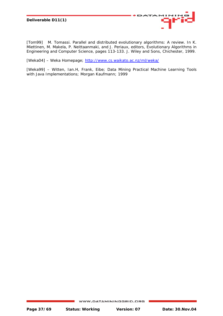

[Tom99] M. Tomassi. Parallel and distributed evolutionary algorithms: A review. In K. Miettinen, M. Makela, P. Neittaanmaki, and J. Periaux, editors, Evolutionary Algorithms in Engineering and Computer Science, pages 113-133. J. Wiley and Sons, Chichester, 1999.

[Weka04] – Weka Homepage;<http://www.cs.waikato.ac.nz/ml/weka/>

[Weka99] – Witten, Ian.H, Frank, Eibe; Data Mining Practical Machine Learning Tools with Java Implementations; Morgan Kaufmann; 1999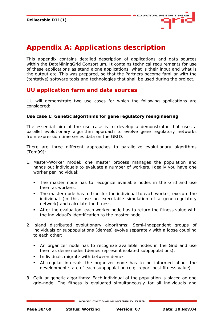

# <span id="page-37-0"></span>**Appendix A: Applications description**

This appendix contains detailed description of applications and data sources within the DataMiningGrid Consortium. It contains technical requirements for use of these applications as stand alone applications, what is their input and what is the output etc. This was prepared, so that the Partners become familiar with the (tentative) software tools and technologies that shall be used during the project.

## **UU application farm and data sources**

UU will demonstrate two use cases for which the following applications are considered:

## **Use case 1: Genetic algorithms for gene regulatory reengineering**

The essential aim of the use case is to develop a demonstrator that uses a parallel evolutionary algorithm approach to evolve gene regulatory networks from expression time series data on the GRID.

There are three different approaches to parallelize evolutionary algorithms [Tom99]:

- 1. Master-Worker model: one master process manages the population and hands out individuals to evaluate a number of workers. Ideally you have one worker per individual:
	- The master node has to recognize available nodes in the Grid and use them as workers.
	- The master node has to transfer the individual to each worker, execute the individual (in this case an executable simulation of a gene-regulatory network) and calculate the fitness.
	- After the evaluation, each worker node has to return the fitness value with the individual's identification to the master node.
- 2. Island distributed evolutionary algorithms: Semi-independent groups of individuals or subpopulations (demes) evolve separately with a loose coupling to each other:
	- An organizer node has to recognize available nodes in the Grid and use them as deme nodes (demes represent isolated subpopulations).
	- **Individuals migrate with between demes.**
	- At regular intervals the organizer node has to be informed about the development state of each subpopulation (e.g. report best fitness value).
- 3. Cellular genetic algorithms: Each individual of the population is placed on one grid-node. The fitness is evaluated simultaneously for all individuals and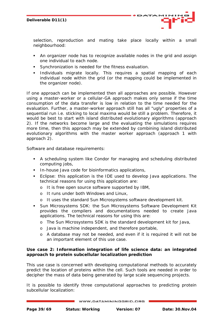

selection, reproduction and mating take place locally within a small neighbourhood:

- An organizer node has to recognize available nodes in the grid and assign one individual to each node.
- Synchronization is needed for the fitness evaluation.
- **Individuals migrate locally. This requires a spatial mapping of each** individual node within the grid (or the mapping could be implemented in the organizer node).

If one approach can be implemented then all approaches are possible. However using a master-worker or a cellular-GA approach makes only sense if the time consumption of the data transfer is low in relation to the time needed for the evaluation. Further, a master-worker approach still has all "ugly" properties of a sequential run i.e. sticking to local maxima would be still a problem. Therefore, it would be best to start with island distributed evolutionary algorithms (approach 2). If the networks become large and the evaluating the simulations requires more time, then this approach may be extended by combining island distributed evolutionary algorithms with the master worker approach (approach 1 with approach 2).

Software and database requirements:

- A scheduling system like Condor for managing and scheduling distributed computing jobs,
- **In-house Java code for bioinformatics applications,**
- Eclipse: this application is the IDE used to develop Java applications. The technical reasons for using this application are:
	- o It is free open source software supported by IBM,
	- o It runs under both Windows and Linux,
	- o It uses the standard Sun Microsystems software development kit.
- Sun Microsystems SDK: the Sun Microsystems Software Development Kit provides the compilers and documentations needed to create Java applications. The technical reasons for using this are:
	- o The Sun Microsystems SDK is the standard development kit for Java,
	- o Java is machine independent, and therefore portable,
	- o A database may not be needed, and even if it is required it will not be an important element of this use case.

## **Use case 2: Information integration of life science data: an integrated approach to protein subcellular localization prediction**

This use case is concerned with developing computational methods to accurately predict the location of proteins within the cell. Such tools are needed in order to decipher the mass of data being generated by large scale sequencing projects.

It is possible to identify three computational approaches to predicting protein subcellular localization: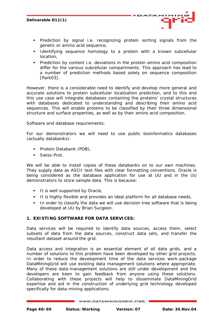

- **Prediction by signal i.e. recognizing protein sorting signals from the** genetic or amino acid sequence,
- **I** Identifying sequence homology to a protein with a known subcellular location,
- **Prediction by content i.e. deviations in the protein amino acid composition** differ for the various subcellular compartments. This approach has lead to a number of prediction methods based solely on sequence composition [Park03].

However, there is a considerable need to identify and develop more general and accurate solutions to protein subcellular localization prediction, and to this end this use case will integrate databases containing the proteins' crystal structures with databases dedicated to understanding and describing their amino acid sequences. This will enable proteins to be classified by their three dimensional structure and surface properties, as well as by their amino acid composition.

Software and database requirements:

For our demonstrators we will need to use public bioinformatics databases (actually databanks):

- **Protein Databank (PDB),**
- **Swiss-Prot.**

We will be able to install copies of these databanks on to our own machines. They supply data as ASCII text files with clear formatting conventions. Oracle is being considered as the database application for use at UU and in the UU demonstrators to store sample data. This is because:

- It is well supported by Oracle,
- It is highly flexible and provides an ideal platform for all database needs,
- In order to classify the data we will use decision tree software that is being developed at UU by Brian Surgeon.

## **1. EXISTING SOFTWARE FOR DATA SERVICES:**

Data services will be required to identify data sources, access them, select subsets of data from the data sources, construct data sets, and transfer the resultant dataset around the grid.

Data access and integration is an essential element of all data grids, and a number of solutions to this problem have been developed by other grid projects. In order to reduce the development time of the data services work-package DataMiningGrid will use existing data management solutions where appropriate. Many of these data-management solutions are still under development and the developers are keen to gain feedback from anyone using these solutions. Collaborating with these projects will help to disseminate DataMiningGrid expertise and aid in the construction of underlying grid technology developed specifically for data-mining applications.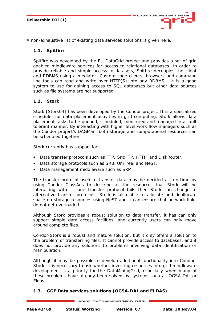

## **1.1. Spitfire**

Spitfire was developed by the EU DataGrid project and provides a set of grid enabled middleware services for access to relational databases. In order to provide reliable and simple access to datasets, Spitfire decouples the client and RDBMS using a mediator. Custom code clients, browsers and command line tools can read and write over HTTP(S) into any RDBMS. It is a good system to use for gaining access to SQL databases but other data sources such as file systems are not supported.

ATA

## **1.2. Stork**

Stork [Stork04] has been developed by the Condor project. It is a specialized scheduler for data placement activities in grid computing. Stork allows data placement tasks to be queued, scheduled, monitored and managed in a fault tolerant manner. By interacting with higher level work flow managers such as the Condor project's DAGMan, both storage and computational resources can be scheduled together.

Stork currently has support for:

- Data transfer protocols such as FTP, GridFTP, HTTP, and DiskRouter,
- Data storage protocols such as SRB, UniTree, and NeST,
- Data management middleware such as SRM.

The transfer protocol used to transfer data may be decided at run-time by using Condor ClassAds to describe all the resources that Stork will be interacting with. If one transfer protocol fails then Stork can change to alternative transfer protocols. Stork is also able to allocate and deallocate space on storage resources using NeST and it can ensure that network links do not get overloaded.

Although Stork provides a robust solution to data transfer, it has can only support simple data access facilities, and currently users can only move around complete files.

Condor-Stork is a robust and mature solution, but it only offers a solution to the problem of transferring files. It cannot provide access to databases, and it does not provide any solutions to problems involving data identification or manipulation.

Although it may be possible to develop additional functionality into Condor-Stork, it is necessary to ask whether investing resources into grid middleware development is a priority for the DataMiningGrid, especially when many of these problems have already been solved by systems such as OGSA-DAI or Eldas.

## **1.3. GGF Data services solutions (OGSA-DAI and ELDAS)**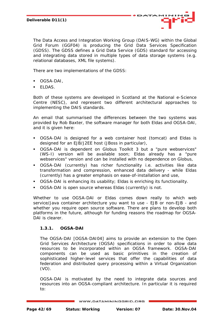

The Data Access and Integration Working Group (DAIS-WG) within the Global Grid Forum (GGF04) is producing the Grid Data Services Specification (GDSS). The GDSS defines a Grid Data Service (GDS) standard for accessing and integrating data stored in multiple types of data storage systems (e.g. relational databases, XML file systems).

There are two implementations of the GDSS:

- OGSA-DAI,
- **ELDAS.**

Both of these systems are developed in Scotland at the National e-Science Centre (NESC), and represent two different architectural approaches to implementing the DAIS standards.

An email that summarised the differences between the two systems was provided by Rob Baxter, the software manager for both Eldas and OGSA-DAI, and it is given here:

- OGSA-DAI is designed for a web container host (tomcat) and Eldas is designed for an EJB/J2EE host (JBoss in particular),
- OGSA-DAI is dependent on Globus Toolkit 3 but a "pure webservices" (WS-I) version will be available soon; Eldas already has a "pure webservices" version and can be installed with no dependence on Globus,
- OGSA-DAI (currently) has richer functionality i.e. activities like data transformation and compression, enhanced data delivery - while Eldas (currently) has a greater emphasis on ease-of-installation and use,
- OGSA-DAI is enhancing its usability; Eldas is enriching its functionality.
- OGSA-DAI is open source whereas Eldas (currently) is not.

Whether to use OGSA-DAI or Eldas comes down really to which web service/Java container architecture you want to use - EJB or non-EJB - and whether you require open source software. There are plans to develop both platforms in the future, although for funding reasons the roadmap for OGSA-DAI is clearer.

## **1.3.1. OGSA-DAI**

The OGSA-DAI [OGSA-DAI04] aims to provide an extension to the Open Grid Services Architecture (OGSA) specifications in order to allow data resources to be incorporated within an OGSA framework. OGSA-DAI components can be used as basic primitives in the creation of sophisticated higher-level services that offer the capabilities of data federation and distributed query processing within a Virtual Organization (VO).

OGSA-DAI is motivated by the need to integrate data sources and resources into an OGSA-compliant architecture. In particular it is required to: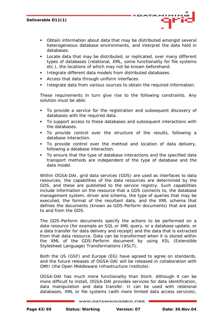Obtain information about data that may be distributed amongst several heterogeneous database environments, and interpret the data held in databases.

ATA

- Locate data that may be distributed, or replicated, over many different types of databases (relational, XML, some functionality for file systems etc.), the locations of which may not be known beforehand.
- Integrate different data models from distributed databases.
- Access that data through uniform interfaces.
- Integrate data from various sources to obtain the required information.

These requirements in turn give rise to the following constraints. Any solution must be able:

- To provide a service for the registration and subsequent discovery of databases with the required data.
- To support access to these databases and subsequent interactions with the databases.
- To provide control over the structure of the results, following a database interaction.
- To provide control over the method and location of data delivery, following a database interaction.
- To ensure that the type of database interactions and the specified data transport methods are independent of the type of database and the data model.

Within OGSA-DAI, grid data services (GDS) are used as interfaces to data resources; the capabilities of the data resources are determined by the GDS, and these are published to the service registry. Such capabilities include information on the resource that a GDS connects to, the database management system, driver and schema, the type of queries that may be executed, the format of the resultant data, and the XML schema that defines the documents (known as GDS-Perform documents) that are past to and from the GDS.

The GDS-Perform documents specify the actions to be performed on a data resource (for example an SQL or XML query, or a database update, or a data transfer for data delivery and receipt) and the data that is extracted from that data resource. Data can be transformed when it is stored within the XML of the GDS-Perform document by using XSL (Extensible Stylesheet Language) Transformations (XSLT).

Both the US (GSF) and Europe (EG) have agreed to agree on standards, and the future releases of OGSA-DAI will be released in collaboration with OMII (the Open Middleware Infrastructure Institute).

OGSA-DAI has much more functionality than Stork. Although it can be more difficult to install, OGSA-DAI provides services for data identification, data manipulation and data transfer. It can be used with relational databases, XML or file systems (with more limited data access services),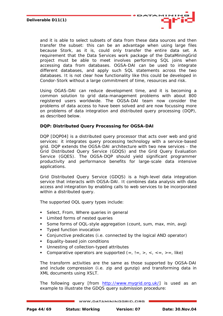

and it is able to select subsets of data from these data sources and then transfer the subset: this can be an advantage when using large files because Stork, as it is, could only transfer the entire data set. A requirement that the Data Services work package of the DataMiningGrid project must be able to meet involves performing SQL joins when accessing data from databases. OGSA-DAI can be used to integrate different databases, and apply such SQL statements across the two databases. It is not clear how functionality like this could be developed in Condor-Stork without a large commitment of time, resources and risk.

Using OGAS-DAI can reduce development time, and it is becoming a common solution to grid data-management problems with about 800 registered users worldwide. The OGSA-DAI team now consider the problems of data access to have been solved and are now focussing more on problems of data integration and distributed query processing (DQP), as described below.

## **DQP: Distributed Query Processing for OGSA-DAI**

DQP [DQP04] is a distributed query processor that acts over web and grid services: it integrates query processing technology with a service-based grid. DQP extends the OGSA-DAI architecture with two new services - the Grid Distributed Query Service (GDQS) and the Grid Query Evaluation Service (GQES). The OGSA-DQP should yield significant programmer productivity and performance benefits for large-scale data intensive applications.

Grid Distributed Query Service (GDQS) is a high-level data integration service that interacts with OGSA-DAI. It combines data analysis with data access and integration by enabling calls to web services to be incorporated within a distributed query.

The supported OQL query types include:

- Select, From, Where queries in general
- **EXECUTE:** Limited forms of nested queries
- Some forms of OQL-style aggregation (count, sum, max, min, avg)
- **Typed function invocation**
- Conjunctive predicates (i.e. connected by the logical AND operator)
- Equality-based join conditions
- **Unnesting of collection-typed attributes**
- Comparative operators are supported  $(=, !=, >, <, <=, >=,$  like)

The transform activities are the same as those supported by OGSA-DAI and include compression (i.e. zip and gunzip) and transforming data in XML documents using XSLT.

The following query [from [http://www.mygrid.org.uk/\]](http://www.mygrid.org.uk/) is used as an example to illustrate the GDQS query submission procedure: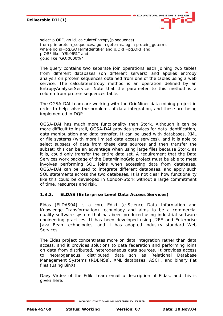



*select p.ORF, go.id, calculateEntropy(p.sequence) from p in protein\_sequences, go in goterms, pg in protein\_goterms where go.id=pg.GOTermIdentifier and p.ORF=pg.ORF and p.ORF like "YBL06%" and go.id like "GO:0000%"* 

The query contains two separate join operations each joining two tables from different databases (on different servers) and applies entropy analysis on protein sequences obtained from one of the tables using a web service. The calculateEntropy method is an operation defined by an EntropyAnalyserService. Note that the parameter to this method is a column from protein sequences table.

The OGSA-DAI team are working with the GridMiner data mining project in order to help solve the problems of data-integration, and these are being implemented in DQP

OGSA-DAI has much more functionality than Stork. Although it can be more difficult to install, OGSA-DAI provides services for data identification, data manipulation and data transfer. It can be used with databases, XML or file systems (with more limited data access services), and it is able to select subsets of data from these data sources and then transfer the subset: this can be an advantage when using large files because Stork, as it is, could only transfer the entire data set. A requirement that the Data Services work package of the DataMiningGrid project must be able to meet involves performing SQL joins when accessing data from databases. OGSA-DAI can be used to integrate different databases, and apply such SQL statements across the two databases. It is not clear how functionality like this could be developed in Condor-Stork without a large commitment of time, resources and risk.

## **1.3.2. ELDAS (Enterprise Level Data Access Services)**

Eldas [ELDAS04] is a core Edikt (e-Science Data Information and Knowledge Transformation) technology and aims to be a commercial quality software system that has been produced using industrial software engineering practices. It has been developed using J2EE and Enterprise Java Bean technologies, and it has adopted industry standard Web Services.

The Eldas project concentrates more on data integration rather than data access, and it provides solutions to data federation and performing joins on data from distributed, heterogeneous data sources. It provides access to heterogeneous, distributed data sch as Relational Database Management Systems (RDBMSs), XML databases, ASCII, and binary flat files (using BinX).

Davy Virdee of the Edikt team email a description of Eldas, and this is given here: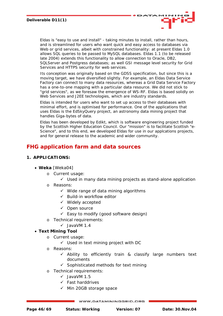

*Eldas is "easy to use and install" - taking minutes to install, rather than hours, and is streamlined for users who want quick and easy access to databases via Web or grid services, albeit with constrained functionality: at present Eldas 1.0 allows SQL queries to be passed to MySQL databases. Eldas 1.1 (to be released late 2004) extends this functionality to allow connection to Oracle, DB2, SQLServer and Postgress databases; as well GSI message level security for Grid Services and HTTPS security for web services.* 

*Its conception was originally based on the GDSS specification, but since this is a moving target, we have diversified slightly. For example, an Eldas Data Service Factory can connect to many data resources, whereas a Grid Data Service Factory has a one-to-one mapping with a particular data resource. We did not stick to "grid services", as we foresaw the emergence of WS-RF. Eldas is based solidly on Web Services and J2EE technologies, which are industry standards.* 

*Eldas is intended for users who want to set up access to their databases with minimal effort, and is optimised for performance. One of the applications that uses Eldas is the EdSkyQuery project, an astronomy data mining project that handles Giga-bytes of data.* 

*Eldas has been developed by Edikt, which is software engineering project funded by the Scottish Higher Education Council. Our "mission" is to facilitate Scottish "e-Science", and to this end, we developed Eldas for use in our applcations projects, and for general release to the academic and wider community.* 

## **FHG application farm and data sources**

## **1. APPLICATIONS:**

## • **Weka** [Weka04]

- o Current usage:
	- $\checkmark$  Used in many data mining projects as stand-alone application
- o Reasons:
	- $\checkmark$  Wide range of data mining algorithms
	- $\checkmark$  Build-in workflow editor
	- $\checkmark$  Widely accepted
	- $\checkmark$  Open source
	- $\checkmark$  Easy to modify (good software design)
- o Technical requirements:
	- $\checkmark$  JavaVM 1.4

## • **Text Mining Tool**

- o Current usage:
	- $\checkmark$  Used in text mining project with DC
- o Reasons:
	- $\checkmark$  Ability to efficiently train & classify large numbers text documents
	- $\checkmark$  Sophisticated methods for text mining
- o Technical requirements:
	- $\checkmark$  JavaVM 1.5
	- $\checkmark$  Fast harddrives
	- $\checkmark$  Min 20GB storage space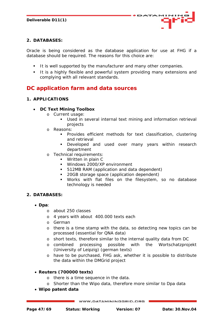

## **2. DATABASES:**

Oracle is being considered as the database application for use at FHG if a database should be required. The reasons for this choice are:

- It is well supported by the manufacturer and many other companies.
- It is a highly flexible and powerful system providing many extensions and complying with all relevant standards.

## **DC application farm and data sources**

## **1. APPLICATIONS**

## • **DC Text Mining Toolbox**

- o Current usage:
	- Used in several internal text mining and information retrieval projects
- o Reasons:
	- **Provides efficient methods for text classification, clustering** and retrieval
	- **Developed and used over many years within research** department
- o Technical requirements:
	- **Written in plain C**
	- Windows 2000/XP environment
	- 512MB RAM (application and data dependent)
	- 20GB storage space (application dependent)
	- Works with flat files on the filesystem, so no database technology is needed

## **2. DATABASES:**

- **Dpa**:
	- o about 250 classes
	- o 4 years with about 400.000 texts each
	- o German
	- o there is a time stamp with the data, so detecting new topics can be processed (essential for QNA data)
	- o short texts, therefore similar to the internal quality data from DC
	- o combined processing possible with the Wortschatzprojekt (University of Leipzig) (german texts)
	- o have to be purchased, FHG ask, whether it is possible to distribute the data within the DMGrid project

## • **Reuters (700000 texts)**

- o there is a time sequence in the data.
- o Shorter than the Wipo data, therefore more similar to Dpa data
- **Wipo patent data**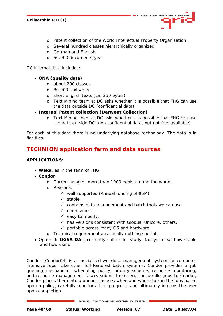

o Patent collection of the World Intellectual Property Organization

**ATA** 

- o Several hundred classes hierarchically organized
- o German and English
- o 60.000 documents/year

DC internal data includes:

## • **QNA (quality data)**

- o about 200 classes
- o 80.000 texts/day
- o short English texts (ca. 250 bytes)
- o Text Mining team at DC asks whether it is possible that FHG can use the data outside DC (confidential data)
- **Internal Patent collection (Derwent Collection)** 
	- o Text Mining team at DC asks whether it is possible that FHG can use the data outside DC (non confidential data, but not free available)

For each of this data there is no underlying database technology. The data is in flat files.

## **TECHNION application farm and data sources**

## **APPLICATIONS:**

- **Weka**, as in the farm of FHG.
- **Condor** 
	- o Current usage: more than 1000 pools around the world.
	- o Reasons:
		- $\checkmark$  well supported (Annual funding of \$5M).
		- $\checkmark$  stable.
		- $\checkmark$  contains data management and batch tools we can use.
		- $\checkmark$  open source.
		- $\checkmark$  easy to modify.
		- $\checkmark$  has versions consistent with Globus, Unicore, others.
		- $\checkmark$  portable across many OS and hardware.
	- o Technical requirements: ractically nothing special.
- Optional: **OGSA-DAI**, currently still under study. Not yet clear how stable and how useful.

Condor [Condor04] is a specialized workload management system for computeintensive jobs. Like other full-featured batch systems, Condor provides a job queuing mechanism, scheduling policy, priority scheme, resource monitoring, and resource management. Users submit their serial or parallel jobs to Condor, Condor places them into a queue, chooses when and where to run the jobs based upon a policy, carefully monitors their progress, and ultimately informs the user upon completion.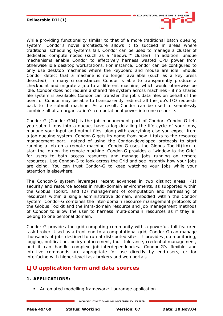

While providing functionality similar to that of a more traditional batch queuing system, Condor's novel architecture allows it to succeed in areas where traditional scheduling systems fail. Condor can be used to manage a cluster of dedicated compute nodes (such as a "Beowulf" cluster). In addition, unique mechanisms enable Condor to effectively harness wasted CPU power from otherwise idle desktop workstations. For instance, Condor can be configured to only use desktop machines where the keyboard and mouse are idle. Should Condor detect that a machine is no longer available (such as a key press detected), in many circumstances Condor is able to transparently produce a checkpoint and migrate a job to a different machine, which would otherwise be idle. Condor does not require a shared file system across machines - if no shared file system is available, Condor can transfer the job's data files on behalf of the user, or Condor may be able to transparently redirect all the job's I/O requests back to the submit machine. As a result, Condor can be used to seamlessly combine all of an organization's computational power into one resource.

Condor-G [Condor-G04] is the job management part of Condor. Condor-G lets you submit jobs into a queue, have a log detailing the life cycle of your jobs, manage your input and output files, along with everything else you expect from a job queuing system. Condor-G gets its name from how it talks to the resource management part. Instead of using the Condor-developed protocols to start running a job on a remote machine, Condor-G uses the Globus Toolkit(tm) to start the job on the remote machine. Condor-G provides a "window to the Grid" for users to both access resources and manage jobs running on remote resources. Use Condor-G to look across the Grid and see instantly how your jobs are doing. You can trust Condor-G to keep watching your jobs while your attention is elsewhere.

The Condor-G system leverages recent advances in two distinct areas: (1) security and resource access in multi-domain environments, as supported within the Globus Toolkit, and (2) management of computation and harnessing of resources within a single administrative domain, embodied within the Condor system. Condor-G combines the inter-domain resource management protocols of the Globus Toolkit and the intra-domain resource and job management methods of Condor to allow the user to harness multi-domain resources as if they all belong to one personal domain.

Condor-G provides the grid computing community with a powerful, full-featured task broker. Used as a front-end to a computational grid, Condor-G can manage thousands of jobs destined to run at distributed sites. It provides job monitoring, logging, notification, policy enforcement, fault tolerance, credential management, and it can handle complex job-interdependencies. Condor-G's flexible and intuitive commands are appropriate for use directly by end-users, or for interfacing with higher-level task brokers and web portals.

## **LJU application farm and data sources**

## **1. APPLICATIONS:**

Automated modelling framework: Lagramge application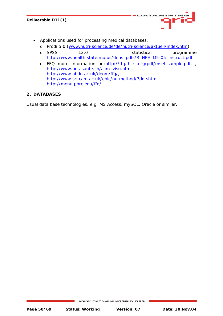

- Applications used for processing medical databases:
	- o Prodi 5.0 [\(www.nutri-science.de/de/nutri-science/aktuell/index.htm\)](http://www.nutri-science.de/de/nutri-science/aktuell/index.htm)
	- o SPSS 12.0 statistical programme [http://www.health.state.mo.us/dnhs\\_pdfs/R\\_NPE\\_M5-05\\_instruct.pdf](http://www.health.state.mo.us/dnhs_pdfs/R_NPE_M5-05_instruct.pdf)
	- o FFQ more information on: http://ffq.fhcrc.org/pdf/msel\_sample.pdf, [http://www.bus-sante.ch/alim\\_visu.html](http://www.bus-sante.ch/alim_visu.html), [http://www.abdn.ac.uk/deom/ffq/,](http://www.abdn.ac.uk/deom/ffq/) <http://www.srl.cam.ac.uk/epic/nutmethod/7dd.shtml>, <http://menu.pbrc.edu/ffq/>

## **2. DATABASES**

Usual data base technologies, e.g. MS Access, mySQL, Oracle or similar.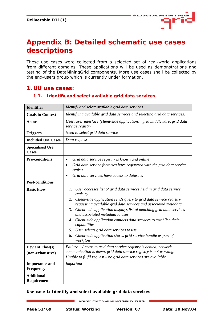

# <span id="page-50-0"></span>**Appendix B: Detailed schematic use cases descriptions**

These use cases were collected from a selected set of real-world applications from different domains. These applications will be used as demonstrations and testing of the DataMiningGrid components. More use cases shall be collected by the end-users group which is currently under formation.

## **1. UU use cases:**

| <b>Identifier</b>                         | Identify and select available grid data services                                                                                         |
|-------------------------------------------|------------------------------------------------------------------------------------------------------------------------------------------|
| <b>Goals in Context</b>                   | Identifying available grid data services and selecting grid data services.                                                               |
| <b>Actors</b>                             | User, user interface (client-side application), grid middleware, grid data<br>service registry                                           |
| <b>Triggers</b>                           | Need to select grid data service                                                                                                         |
| <b>Included Use Cases</b>                 | Data request                                                                                                                             |
| <b>Specialised Use</b><br>Cases           |                                                                                                                                          |
| <b>Pre-conditions</b>                     | Grid data service registry is known and online<br>Grid data service factories have registered with the grid data service<br>٠            |
|                                           | registr                                                                                                                                  |
|                                           | Grid data services have access to datasets.                                                                                              |
| <b>Post-conditions</b>                    |                                                                                                                                          |
| <b>Basic Flow</b>                         | 1. User accesses list of grid data services held in grid data service<br>registry.                                                       |
|                                           | 2. Client-side application sends query to grid data service registry<br>requesting available grid data services and associated metadata. |
|                                           | 3. Client-side application displays list of matching grid data services<br>and associated metadata to user.                              |
|                                           | 4. Client-side application contacts data services to establish their<br>capabilities.                                                    |
|                                           | 5. User selects grid data services to use.                                                                                               |
|                                           | Client-side application stores grid service handle as part of<br>6.<br>workflow.                                                         |
| <b>Deviant Flow(s)</b>                    | Failure – Access to grid data service registry is denied, network                                                                        |
| (non-exhaustive)                          | communication is down, grid data service registry is not working.<br>Unable to fulfil request - no grid data services are available.     |
|                                           |                                                                                                                                          |
| <b>Importance and</b><br><b>Frequency</b> | Important                                                                                                                                |
| <b>Additional</b><br><b>Requirements</b>  |                                                                                                                                          |

## **1.1. Identify and select available grid data services**

**Use case 1: Identify and select available grid data services**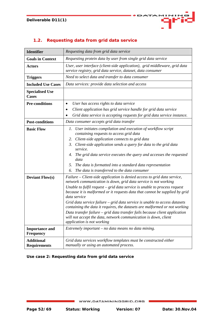

## **1.2. Requesting data from grid data service**

| <b>Identifier</b>                               | Requesting data from grid data service                                                                                                                                                                                                                                                                                                                                                                                                                                                                                                                                                                                                                                                                                           |  |  |
|-------------------------------------------------|----------------------------------------------------------------------------------------------------------------------------------------------------------------------------------------------------------------------------------------------------------------------------------------------------------------------------------------------------------------------------------------------------------------------------------------------------------------------------------------------------------------------------------------------------------------------------------------------------------------------------------------------------------------------------------------------------------------------------------|--|--|
| <b>Goals in Context</b>                         | Requesting protein data by user from single grid data service                                                                                                                                                                                                                                                                                                                                                                                                                                                                                                                                                                                                                                                                    |  |  |
| <b>Actors</b>                                   | User, user interface (client-side application), grid middleware, grid data<br>service registry, grid data service, dataset, data consumer                                                                                                                                                                                                                                                                                                                                                                                                                                                                                                                                                                                        |  |  |
| <b>Triggers</b>                                 | Need to select data and transfer to data consumer                                                                                                                                                                                                                                                                                                                                                                                                                                                                                                                                                                                                                                                                                |  |  |
| <b>Included Use Cases</b>                       | Data services: provide data selection and access                                                                                                                                                                                                                                                                                                                                                                                                                                                                                                                                                                                                                                                                                 |  |  |
| <b>Specialised Use</b><br><b>Cases</b>          |                                                                                                                                                                                                                                                                                                                                                                                                                                                                                                                                                                                                                                                                                                                                  |  |  |
| <b>Pre-conditions</b>                           | User has access rights to data service<br>$\bullet$<br>Client application has grid service handle for grid data service<br>Grid data service is accepting requests for grid data service instance.                                                                                                                                                                                                                                                                                                                                                                                                                                                                                                                               |  |  |
| <b>Post-conditions</b>                          | Data consumer accepts grid data transfer                                                                                                                                                                                                                                                                                                                                                                                                                                                                                                                                                                                                                                                                                         |  |  |
| <b>Basic Flow</b>                               | User initiates compilation and execution of workflow script<br>Ι.<br>containing requests to access grid data<br>2. Client-side application connects to grid data<br>3.<br>Client-side application sends a query for data to the grid data<br>service.<br>The grid data service executes the query and accesses the requested<br>4.<br>data<br>The data is formatted into a standard data representation<br>5.<br>The data is transferred to the data consumer<br>6.                                                                                                                                                                                                                                                              |  |  |
| <b>Deviant Flow(s)</b><br><b>Importance and</b> | Failure – Client-side application is denied access to grid data service,<br>network communication is down, grid data service is not working<br>Unable to fulfil request $-$ grid data service is unable to process request<br>because it is malformed or it requests data that cannot be supplied by grid<br>data service<br>Grid data service failure - grid data service is unable to access datasets<br>containing the data it requires, the datasets are malformed or not working<br>Data transfer failure $-$ grid data transfer fails because client application<br>will not accept the data, network communication is down, client<br>application is not working<br>Extremely important $-$ no data means no data mining. |  |  |
| <b>Frequency</b>                                |                                                                                                                                                                                                                                                                                                                                                                                                                                                                                                                                                                                                                                                                                                                                  |  |  |
| <b>Additional</b><br><b>Requirements</b>        | Grid data services workflow templates must be constructed either<br>manually or using an automated process.                                                                                                                                                                                                                                                                                                                                                                                                                                                                                                                                                                                                                      |  |  |

**Use case 2: Requesting data from grid data service**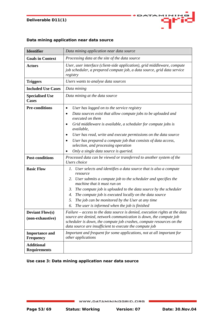

## **Data mining application near data source**

| <b>Identifier</b>                          | Data mining application near data source                                                                                                                                                                                                                                                               |  |  |
|--------------------------------------------|--------------------------------------------------------------------------------------------------------------------------------------------------------------------------------------------------------------------------------------------------------------------------------------------------------|--|--|
| <b>Goals in Context</b>                    | Processing data at the site of the data source                                                                                                                                                                                                                                                         |  |  |
| <b>Actors</b>                              | User, user interface (client-side application), grid middleware, compute<br>job scheduler, a prepared compute job, a data source, grid data service<br>registry                                                                                                                                        |  |  |
| <b>Triggers</b>                            | Users wants to analyse data sources                                                                                                                                                                                                                                                                    |  |  |
| <b>Included Use Cases</b>                  | Data mining                                                                                                                                                                                                                                                                                            |  |  |
| <b>Specialised Use</b><br><b>Cases</b>     | Data mining at the data source                                                                                                                                                                                                                                                                         |  |  |
| <b>Pre-conditions</b>                      | User has logged on to the service registry<br>٠                                                                                                                                                                                                                                                        |  |  |
|                                            | Data sources exist that allow compute jobs to be uploaded and<br>executed on them                                                                                                                                                                                                                      |  |  |
|                                            | Grid middleware is available, a scheduler for compute jobs is<br>٠<br>available,                                                                                                                                                                                                                       |  |  |
|                                            | User has read, write and execute permissions on the data source                                                                                                                                                                                                                                        |  |  |
|                                            | User has prepared a compute job that consists of data access,<br>selection, and processing operation                                                                                                                                                                                                   |  |  |
|                                            | Only a single data source is queried.                                                                                                                                                                                                                                                                  |  |  |
| <b>Post-conditions</b>                     | Processed data can be viewed or transferred to another system of the<br>Users choice                                                                                                                                                                                                                   |  |  |
| <b>Basic Flow</b>                          | User selects and identifies a data source that is also a compute<br>1.<br>resource                                                                                                                                                                                                                     |  |  |
|                                            | 2. User submits a compute job to the scheduler and specifies the<br>machine that it must run on                                                                                                                                                                                                        |  |  |
|                                            | The compute job is uploaded to the data source by the scheduler<br>3.                                                                                                                                                                                                                                  |  |  |
|                                            | The compute job is executed locally on the data source<br>4.                                                                                                                                                                                                                                           |  |  |
|                                            | The job can be monitored by the User at any time<br>5.                                                                                                                                                                                                                                                 |  |  |
|                                            | The user is informed when the job is finished<br>6.                                                                                                                                                                                                                                                    |  |  |
| <b>Deviant Flow(s)</b><br>(non-exhaustive) | $F \alpha$ Failure – $\alpha$ ccess to the data source is denied, execution rights at the data<br>source are denied, network communication is down, the compute job<br>scheduler is down, the compute job crashes, compute resources on the<br>data source are insufficient to execute the compute job |  |  |
| <b>Importance and</b>                      | Important and frequent for some applications, not at all important for                                                                                                                                                                                                                                 |  |  |
| <b>Frequency</b>                           | other applications                                                                                                                                                                                                                                                                                     |  |  |
| <b>Additional</b><br><b>Requirements</b>   |                                                                                                                                                                                                                                                                                                        |  |  |

## **Use case 3: Data mining application near data source**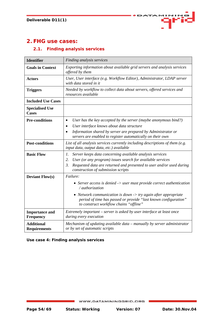

## **2. FHG use cases:**

## **2.1. Finding analysis services**

| <b>Identifier</b>                         | Finding analysis services                                                                                                                                                                                                                                                                                 |  |  |
|-------------------------------------------|-----------------------------------------------------------------------------------------------------------------------------------------------------------------------------------------------------------------------------------------------------------------------------------------------------------|--|--|
| <b>Goals in Context</b>                   | Exporting information about available grid servers and analysis services<br>offered by them                                                                                                                                                                                                               |  |  |
| <b>Actors</b>                             | User, User interface (e.g. Workflow Editor), Administrator, LDAP server<br>with data stored in it                                                                                                                                                                                                         |  |  |
| <b>Triggers</b>                           | Needed by workflow to collect data about servers, offered services and<br>resources available                                                                                                                                                                                                             |  |  |
| <b>Included Use Cases</b>                 |                                                                                                                                                                                                                                                                                                           |  |  |
| <b>Specialised Use</b><br><b>Cases</b>    |                                                                                                                                                                                                                                                                                                           |  |  |
| <b>Pre-conditions</b>                     | User has the key accepted by the server (maybe anonymous bind?)<br>$\bullet$<br>User interface knows about data structure<br>$\bullet$<br>Information shared by server are prepared by Administrator or<br>$\bullet$<br>servers are enabled to register automatically on their own                        |  |  |
| <b>Post-conditions</b>                    | List of all analysis services currently including descriptions of them (e.g.<br>input data, output data, etc.) available                                                                                                                                                                                  |  |  |
| <b>Basic Flow</b>                         | Server keeps data concerning available analysis services<br>1.<br>2.<br>User (or any program) issues search for available services<br>Requested data are returned and presented to user and/or used during<br>3.<br>construction of submission scripts                                                    |  |  |
| <b>Deviant Flow(s)</b>                    | Failure:<br>• Server access is denied $\rightarrow$ user must provide correct authentication<br>/ authorization<br>• Network communication is down $\rightarrow$ try again after appropriate<br>period of time has passed or provide "last known configuration"<br>to construct workflow chains "offline" |  |  |
| <b>Importance and</b><br><b>Frequency</b> | Extremely important – server is asked by user interface at least once<br>during every execution                                                                                                                                                                                                           |  |  |
| <b>Additional</b><br><b>Requirements</b>  | Mechanism of updating available data – manually by server administrator<br>or by set of automatic scripts                                                                                                                                                                                                 |  |  |

| Use case 4: Finding analysis services |  |  |
|---------------------------------------|--|--|
|                                       |  |  |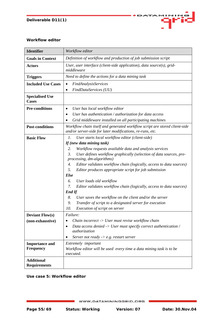

#### **Workflow editor**

| <b>Identifier</b>                          | Workflow editor                                                                                                                                                                                                                                                                                                                                                                                                                                                                                                                                                                                                                                                                                                           |  |  |
|--------------------------------------------|---------------------------------------------------------------------------------------------------------------------------------------------------------------------------------------------------------------------------------------------------------------------------------------------------------------------------------------------------------------------------------------------------------------------------------------------------------------------------------------------------------------------------------------------------------------------------------------------------------------------------------------------------------------------------------------------------------------------------|--|--|
| <b>Goals in Context</b>                    | Definition of workflow and production of job submission script                                                                                                                                                                                                                                                                                                                                                                                                                                                                                                                                                                                                                                                            |  |  |
| <b>Actors</b>                              | User, user interface (client-side application), data source(s), grid-<br>middleware                                                                                                                                                                                                                                                                                                                                                                                                                                                                                                                                                                                                                                       |  |  |
| <b>Triggers</b>                            | Need to define the actions for a data mining task                                                                                                                                                                                                                                                                                                                                                                                                                                                                                                                                                                                                                                                                         |  |  |
| <b>Included Use Cases</b>                  | FindAnalysisServices<br>$\bullet$<br>FindDataServices (UU)<br>$\bullet$                                                                                                                                                                                                                                                                                                                                                                                                                                                                                                                                                                                                                                                   |  |  |
| <b>Specialised Use</b><br><b>Cases</b>     |                                                                                                                                                                                                                                                                                                                                                                                                                                                                                                                                                                                                                                                                                                                           |  |  |
| <b>Pre-conditions</b>                      | User has local workflow editor<br>$\bullet$<br>User has authentication / authorization for data access<br>Grid middleware installed on all participating machines                                                                                                                                                                                                                                                                                                                                                                                                                                                                                                                                                         |  |  |
| <b>Post-conditions</b>                     | Workflow chain itself and generated workflow script are stored client-side<br>and/or server-side for later modifications, re-runs, etc.                                                                                                                                                                                                                                                                                                                                                                                                                                                                                                                                                                                   |  |  |
| <b>Basic Flow</b>                          | 1.<br>User starts local workflow editor (client-side)<br>If (new data mining task)<br>2.<br>Workflow requests available data and analysis services<br>3.<br>User defines workflow graphically (selection of data sources, pre-<br>processing, dm-algorithms)<br>4.<br>Editor validates workflow chain (logically, access to data sources)<br>5.<br>Editor produces appropriate script for job submission<br>Else<br>6.<br>User loads old workflow<br>7.<br>Editor validates workflow chain (logically, access to data sources)<br><b>End If</b><br>8.<br>User saves the workflow on the client and/or the server<br>9.<br>Transfer of script to a designated server for execution<br>10.<br>Execution of script on server |  |  |
| <b>Deviant Flow(s)</b><br>(non-exhaustive) | Failure:<br>Chain incorrect $\rightarrow$ User must revise workflow chain<br>$\bullet$<br>Data access denied -> User must specify correct authentication /<br>$\bullet$<br><i>authorization</i><br>Server not ready $\rightarrow$ e.g. restart server<br>$\bullet$                                                                                                                                                                                                                                                                                                                                                                                                                                                        |  |  |
| <b>Importance and</b><br><b>Frequency</b>  | Extremely important<br>Workflow editor will be used every time a data mining task is to be                                                                                                                                                                                                                                                                                                                                                                                                                                                                                                                                                                                                                                |  |  |
| <b>Additional</b><br><b>Requirements</b>   | executed.                                                                                                                                                                                                                                                                                                                                                                                                                                                                                                                                                                                                                                                                                                                 |  |  |

**Use case 5:** *Workflow editor*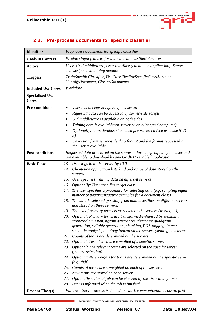

| <b>Identifier</b>                      | Preprocess documents for specific classifier                                                                                                                                                                                                                                                                                                                                                                                                                                                                                                                                                                                                                                                                                                                                                                                                                                                                                                                                                                                                                                                                                                                                                                                                                                                                                                                                                           |  |  |
|----------------------------------------|--------------------------------------------------------------------------------------------------------------------------------------------------------------------------------------------------------------------------------------------------------------------------------------------------------------------------------------------------------------------------------------------------------------------------------------------------------------------------------------------------------------------------------------------------------------------------------------------------------------------------------------------------------------------------------------------------------------------------------------------------------------------------------------------------------------------------------------------------------------------------------------------------------------------------------------------------------------------------------------------------------------------------------------------------------------------------------------------------------------------------------------------------------------------------------------------------------------------------------------------------------------------------------------------------------------------------------------------------------------------------------------------------------|--|--|
| <b>Goals in Context</b>                | Produce input features for a document classifier/clusterer                                                                                                                                                                                                                                                                                                                                                                                                                                                                                                                                                                                                                                                                                                                                                                                                                                                                                                                                                                                                                                                                                                                                                                                                                                                                                                                                             |  |  |
| <b>Actors</b>                          | User, Grid middleware, User interface (client-side application), Server-<br>side scripts, text mining module                                                                                                                                                                                                                                                                                                                                                                                                                                                                                                                                                                                                                                                                                                                                                                                                                                                                                                                                                                                                                                                                                                                                                                                                                                                                                           |  |  |
| <b>Triggers</b>                        | TrainSpecificClassifier, UseClassifierForSpecificClassAttribute,<br>ClassifyDocument, ClusterDocuments                                                                                                                                                                                                                                                                                                                                                                                                                                                                                                                                                                                                                                                                                                                                                                                                                                                                                                                                                                                                                                                                                                                                                                                                                                                                                                 |  |  |
| <b>Included Use Cases</b>              | Workflow                                                                                                                                                                                                                                                                                                                                                                                                                                                                                                                                                                                                                                                                                                                                                                                                                                                                                                                                                                                                                                                                                                                                                                                                                                                                                                                                                                                               |  |  |
| <b>Specialised Use</b><br><b>Cases</b> |                                                                                                                                                                                                                                                                                                                                                                                                                                                                                                                                                                                                                                                                                                                                                                                                                                                                                                                                                                                                                                                                                                                                                                                                                                                                                                                                                                                                        |  |  |
| <b>Pre-conditions</b>                  | User has the key accepted by the server<br>٠                                                                                                                                                                                                                                                                                                                                                                                                                                                                                                                                                                                                                                                                                                                                                                                                                                                                                                                                                                                                                                                                                                                                                                                                                                                                                                                                                           |  |  |
|                                        | Rquested data can be accessed by server-side scripts<br>٠                                                                                                                                                                                                                                                                                                                                                                                                                                                                                                                                                                                                                                                                                                                                                                                                                                                                                                                                                                                                                                                                                                                                                                                                                                                                                                                                              |  |  |
|                                        | Gid middleware is available on both sides                                                                                                                                                                                                                                                                                                                                                                                                                                                                                                                                                                                                                                                                                                                                                                                                                                                                                                                                                                                                                                                                                                                                                                                                                                                                                                                                                              |  |  |
|                                        | Taining data is available(on server or on client grid computer)                                                                                                                                                                                                                                                                                                                                                                                                                                                                                                                                                                                                                                                                                                                                                                                                                                                                                                                                                                                                                                                                                                                                                                                                                                                                                                                                        |  |  |
|                                        | Optionally: news database has been preprocessed (see use case 61.3-<br>3)                                                                                                                                                                                                                                                                                                                                                                                                                                                                                                                                                                                                                                                                                                                                                                                                                                                                                                                                                                                                                                                                                                                                                                                                                                                                                                                              |  |  |
|                                        | Cnversion from server-side data format and the format requested by<br>the user is available                                                                                                                                                                                                                                                                                                                                                                                                                                                                                                                                                                                                                                                                                                                                                                                                                                                                                                                                                                                                                                                                                                                                                                                                                                                                                                            |  |  |
| <b>Post-conditions</b>                 | Requested data are stored on the server in format specified by the user and<br>are available to download by any GridFTP-enabled application                                                                                                                                                                                                                                                                                                                                                                                                                                                                                                                                                                                                                                                                                                                                                                                                                                                                                                                                                                                                                                                                                                                                                                                                                                                            |  |  |
| <b>Basic Flow</b>                      | User logs in to the server by GUI<br>13.<br>Client-side application lists kind and range of data stored on the<br>14.<br>servers<br>User specifies training data on different servers<br>15.<br>Optionally: User specifies target class.<br>16.<br>The user specifies a procedure for selecting data (e.g. sampling equal<br>17.<br>number of positive/negative examples for a document class).<br>The data is selected, possibly from databases/files on different servers<br>18.<br>and stored on these servers.<br>The list of primary terms is extracted on the servers (words, ),<br>19.<br>20. Optional: Primary terms are transformed/enhanced by stemming,<br>stopword omission, ngram generation, character quadgram<br>generation, syllable generation, chunking, POS-tagging, latents<br>semantic analysis, ontology lookup on the servers yielding new terms<br>Counts of terms are determined on the servers.<br>21.<br>Optional. Term lexica are compiled of a specific server.<br>22.<br>23.<br>Optional: The relevant terms are selected on the specific server<br>(feature selection).<br>24. Optional: New weights for terms are determined on the specific server<br>$(e.g. \textit{tfidf}).$<br>25. Counts of terms are reweighted on each of the servers.<br>New terms are stored on each server<br>26.<br>Optionally status of job can be checked by the User at any time<br>27. |  |  |
|                                        | 28.<br>User is informed when the job is finished                                                                                                                                                                                                                                                                                                                                                                                                                                                                                                                                                                                                                                                                                                                                                                                                                                                                                                                                                                                                                                                                                                                                                                                                                                                                                                                                                       |  |  |
| <b>Deviant Flow(s)</b>                 | Failure – Server access is denied, network communication is down, grid                                                                                                                                                                                                                                                                                                                                                                                                                                                                                                                                                                                                                                                                                                                                                                                                                                                                                                                                                                                                                                                                                                                                                                                                                                                                                                                                 |  |  |

## **2.2. Pre-process documents for specific classifier**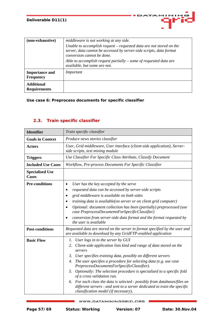| (non-exhaustive)                          | middleware is not working at any side.<br>Unable to accomplish request – requested data are not stored on the<br>server, data cannot be accessed by server-side scripts, data format<br>conversion cannot be done.<br>Able to accomplish request partially $-$ some of requested data are<br>available, but some are not. |
|-------------------------------------------|---------------------------------------------------------------------------------------------------------------------------------------------------------------------------------------------------------------------------------------------------------------------------------------------------------------------------|
| <b>Importance and</b><br><b>Frequency</b> | Important                                                                                                                                                                                                                                                                                                                 |
| <b>Additional</b><br><b>Requirements</b>  |                                                                                                                                                                                                                                                                                                                           |

DATA

 $11N1F$ 

93

#### **Use case 6: Preprocess documents for specific classifier**

## **2.3. Train specific classifier**

| <b>Identifier</b>                      | Train specific classifier                                                                                                                                                                        |
|----------------------------------------|--------------------------------------------------------------------------------------------------------------------------------------------------------------------------------------------------|
| <b>Goals in Context</b>                | Produce news stories classifier                                                                                                                                                                  |
| <b>Actors</b>                          | User, Grid middleware, User interface (client-side application), Server-<br>side scripts, text mining module                                                                                     |
| <b>Triggers</b>                        | Use Classifier For Specific Class Attribute, Classify Document                                                                                                                                   |
| <b>Included Use Cases</b>              | Workflow, Pre-process Documents For Specific Classifier                                                                                                                                          |
| <b>Specialised Use</b><br><b>Cases</b> |                                                                                                                                                                                                  |
| <b>Pre-conditions</b>                  | User has the key accepted by the serve<br>$\bullet$                                                                                                                                              |
|                                        | requested data can be accessed by server-side scripts                                                                                                                                            |
|                                        | grid middleware is available on both sides                                                                                                                                                       |
|                                        | <i>training data is available(on server or on client grid computer)</i>                                                                                                                          |
|                                        | Optional: document collection has been (partially) preprocessed (use<br>$\bullet$<br>case PreprocessDocumentsForSpecificClassifier)                                                              |
|                                        | conversion from server-side data format and the format requested by<br>the user is available                                                                                                     |
| <b>Post-conditions</b>                 | Requested data are stored on the server in format specified by the user and<br>are available to download by any GridFTP-enabled application                                                      |
| <b>Basic Flow</b>                      | User logs in to the server by GUI<br>1.                                                                                                                                                          |
|                                        | Client-side application lists kind and range of data stored on the<br>2.<br>servers                                                                                                              |
|                                        | User specifies training data, possibly on different servers<br>3.                                                                                                                                |
|                                        | The user specifies a procedure for selecting data (e.g. use case<br>4.<br>PreprocessDocumentsForSpecificClassifier).                                                                             |
|                                        | 5. Optionally: The selection procedure is specialized to a specific fold<br>of a cross validation run.                                                                                           |
|                                        | For each class the data is selected - possibly from databases/files on<br>6.<br>different servers - and sent to a server dedicated to train the specific<br>classification model (if necessary), |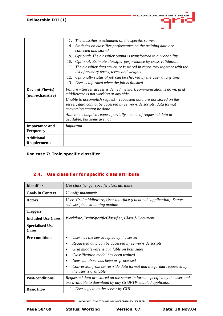|                                            | The classifier is estimated on the specific server.<br>7.                                                                                                                |
|--------------------------------------------|--------------------------------------------------------------------------------------------------------------------------------------------------------------------------|
|                                            | 8.<br>Statistics on classifier performance on the training data are<br>collected and stored.                                                                             |
|                                            | Optional: The classifier output is transformed to a probability.<br>9.                                                                                                   |
|                                            | Optional: Estimate classifier performance by cross validation.<br>10.                                                                                                    |
|                                            | The classifier data structure is stored in repository together with the<br>11.<br>list of primary terms, terms and weights.                                              |
|                                            | Optionally status of job can be checked by the User at any time<br>12.                                                                                                   |
|                                            | User is informed when the job is finished<br>13.                                                                                                                         |
| <b>Deviant Flow(s)</b><br>(non-exhaustive) | Failure – Server access is denied, network communication is down, grid<br>middleware is not working at any side.                                                         |
|                                            | Unable to accomplish request – requested data are not stored on the<br>server, data cannot be accessed by server-side scripts, data format<br>conversion cannot be done. |
|                                            | Able to accomplish request partially $-$ some of requested data are<br>available, but some are not.                                                                      |
| <b>Importance and</b><br><b>Frequency</b>  | Important                                                                                                                                                                |
| <b>Additional</b><br><b>Requirements</b>   |                                                                                                                                                                          |

**Use case 7:** *Train specific classifier* 

## **2.4. Use classifier for specific class attribute**

| <b>Identifier</b>                      | Use classifier for specific class attribute                                                                                                                                                                                                                                                                                    |
|----------------------------------------|--------------------------------------------------------------------------------------------------------------------------------------------------------------------------------------------------------------------------------------------------------------------------------------------------------------------------------|
| <b>Goals in Context</b>                | Classify documents                                                                                                                                                                                                                                                                                                             |
| <b>Actors</b>                          | User, Grid middleware, User interface (client-side application), Server-<br>side scripts, text mining module                                                                                                                                                                                                                   |
| <b>Triggers</b>                        |                                                                                                                                                                                                                                                                                                                                |
| <b>Included Use Cases</b>              | Workflow, TrainSpecificClassifier, ClassifyDocument                                                                                                                                                                                                                                                                            |
| <b>Specialised Use</b><br><b>Cases</b> |                                                                                                                                                                                                                                                                                                                                |
| <b>Pre-conditions</b>                  | User has the key accepted by the server<br>Requested data can be accessed by server-side scripts<br>Grid middleware is available on both sides<br>Classification model has been trained<br>News database has been preprocessed<br>Conversion from server-side data format and the format requested by<br>the user is available |
| <b>Post-conditions</b>                 | Requested data are stored on the server in format specified by the user and<br>are available to download by any GridFTP-enabled application                                                                                                                                                                                    |
| <b>Basic Flow</b>                      | User logs in to the server by GUI<br>1.                                                                                                                                                                                                                                                                                        |

WWW.DATAMININGGRID.ORG

**11NIM** 

Œ

**DATA**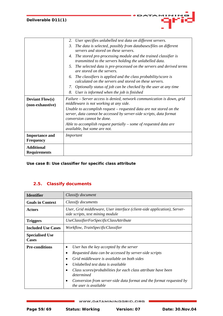| <b>Additional</b><br><b>Requirements</b>   |                                                                                                                                                                                |
|--------------------------------------------|--------------------------------------------------------------------------------------------------------------------------------------------------------------------------------|
| <b>Importance and</b><br><b>Frequency</b>  | Important                                                                                                                                                                      |
|                                            | Able to accomplish request partially $-$ some of requested data are<br>available, but some are not.                                                                            |
|                                            | Unable to accomplish request – requested data are not stored on the<br>server, data cannot be accessed by server-side scripts, data format<br>conversion cannot be done.       |
| <b>Deviant Flow(s)</b><br>(non-exhaustive) | Failure – Server access is denied, network communication is down, grid<br>middleware is not working at any side.                                                               |
|                                            | 8.<br>User is informed when the job is finished                                                                                                                                |
|                                            | calculated on the servers and stored on these servers.<br>7. Optionally status of job can be checked by the user at any time                                                   |
|                                            | The selected data is pre-processed on the servers and derived terms<br>5.<br>are stored on the servers.<br>The classifiers is applied and the class probability/score is<br>6. |
|                                            | The stored pre-processing module and the trained classifier is<br>4.<br>transmitted to the servers holding the unlabelled data.                                                |
|                                            | 3.<br>The data is selected, possibly from databases/files on different<br>servers and stored on these servers.                                                                 |
|                                            | User specifies unlabelled test data on different servers.<br>2.                                                                                                                |

**Use case 8: Use classifier for specific class attribute** 

## **2.5. Classify documents**

| <b>Identifier</b>                      | Classify document                                                                                                                                                                                                                                                                                                                                                  |
|----------------------------------------|--------------------------------------------------------------------------------------------------------------------------------------------------------------------------------------------------------------------------------------------------------------------------------------------------------------------------------------------------------------------|
| <b>Goals in Context</b>                | Classify documents                                                                                                                                                                                                                                                                                                                                                 |
| <b>Actors</b>                          | User, Grid middleware, User interface (client-side application), Server-<br>side scripts, text mining module                                                                                                                                                                                                                                                       |
| <b>Triggers</b>                        | UseClassifierForSpecificClassAttribute                                                                                                                                                                                                                                                                                                                             |
| <b>Included Use Cases</b>              | Workflow, TrainSpecificClassifier                                                                                                                                                                                                                                                                                                                                  |
| <b>Specialised Use</b><br><b>Cases</b> |                                                                                                                                                                                                                                                                                                                                                                    |
| <b>Pre-conditions</b>                  | User has the key accepted by the server<br>Requested data can be accessed by server-side scripts<br>Grid middleware is available on both sides<br>Unlabelled test data is available<br>Class scores/probabilities for each class attribute have been<br>determined<br>Conversion from server-side data format and the format requested by<br>the user is available |

WWW.DATAMININGGRID.ORG

11 M I M

×.

DATA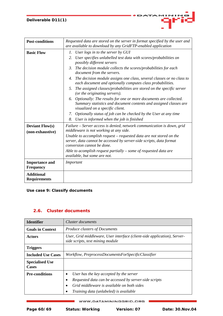| <b>Post-conditions</b>                     | Requested data are stored on the server in format specified by the user and<br>are available to download by any GridFTP-enabled application                                                                                                                                                                                                                                                                                                                                                                                                                                              |
|--------------------------------------------|------------------------------------------------------------------------------------------------------------------------------------------------------------------------------------------------------------------------------------------------------------------------------------------------------------------------------------------------------------------------------------------------------------------------------------------------------------------------------------------------------------------------------------------------------------------------------------------|
| <b>Basic Flow</b>                          | User logs in to the server by GUI<br>1.<br>User specifies unlabelled test data with scores/probabilities on<br>2.<br>possibly different servers<br>The decision module collects the scores/probabilities for each<br>3.<br>document from the servers.<br>The decision module assigns one class, several classes or no class to<br>4.<br>each document and optionally computes class probabilities.<br>The assigned classes/probabilities are stored on the specific server<br>5.<br>(or the originating servers).<br>6. Optionally: The results for one or more documents are collected. |
|                                            | Summary statistics and document contents and assigned classes are<br>visualized on a specific client.<br>Optionally status of job can be checked by the User at any time<br>7.<br>8.<br>User is informed when the job is finished                                                                                                                                                                                                                                                                                                                                                        |
| <b>Deviant Flow(s)</b><br>(non-exhaustive) | Failure – Server access is denied, network communication is down, grid<br>middleware is not working at any side.<br>Unable to accomplish request – requested data are not stored on the<br>server, data cannot be accessed by server-side scripts, data format<br>conversion cannot be done.<br>Able to acomplish request partially $-$ some of requested data are<br>available, but some are not.                                                                                                                                                                                       |
| <b>Importance and</b><br><b>Frequency</b>  | Important                                                                                                                                                                                                                                                                                                                                                                                                                                                                                                                                                                                |
| <b>Additional</b><br><b>Requirements</b>   |                                                                                                                                                                                                                                                                                                                                                                                                                                                                                                                                                                                          |

DATA

MINIE Œ

**Use case 9:** *Classify documents*

## **2.6. Cluster documents**

| <b>Identifier</b>                      | Cluster documents                                                                                                                              |
|----------------------------------------|------------------------------------------------------------------------------------------------------------------------------------------------|
| <b>Goals in Context</b>                | <b>Produce clusters of Documents</b>                                                                                                           |
| <b>Actors</b>                          | User, Grid middleware, User interface (client-side application), Server-<br>side scripts, text mining module                                   |
| <b>Triggers</b>                        |                                                                                                                                                |
| <b>Included Use Cases</b>              | Workflow, PreprocessDocumentsForSpecificClassifier                                                                                             |
| <b>Specialised Use</b><br><b>Cases</b> |                                                                                                                                                |
| <b>Pre-conditions</b>                  | User has the key accepted by the server<br>Requested data can be accessed by server-side scripts<br>Grid middleware is available on both sides |
|                                        | Training data (unlabeled) is available                                                                                                         |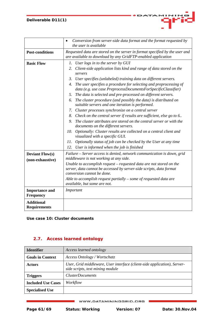|                                            | Conversion from server-side data format and the format requested by<br>$\bullet$                                                                                         |
|--------------------------------------------|--------------------------------------------------------------------------------------------------------------------------------------------------------------------------|
|                                            | the user is available                                                                                                                                                    |
| <b>Post-conditions</b>                     | Requested data are stored on the server in format specified by the user and<br>are available to download by any GridFTP-enabled application                              |
| <b>Basic Flow</b>                          | User logs in to the server by GUI<br>Ι.                                                                                                                                  |
|                                            | 2. Client-side application lists kind and range of data stored on the<br>servers                                                                                         |
|                                            | $\mathfrak{Z}$ .<br>User specifies (unlabeled) training data on different servers.                                                                                       |
|                                            | The user specifies a procedure for selecting and preprocessing of<br>4.<br>data (e.g. use case PreprocessDocumentsForSpecificClassifier)                                 |
|                                            | The data is selected and pre-processed on different servers.<br>5.                                                                                                       |
|                                            | The cluster procedure (and possibly the data) is distributed on<br>6.<br>suitable servers and one iteration is performed.                                                |
|                                            | 7.<br>Cluster processes synchronize on a central server                                                                                                                  |
|                                            | 8.<br>Check on the central server if results are sufficient, else go to 6                                                                                                |
|                                            | 9.<br>The cluster attributes are stored on the central server or with the<br>documents on the different servers.                                                         |
|                                            | 10.<br>Optionally: Cluster results are collected on a central client and<br>visualized with a specific GUI.                                                              |
|                                            | 11.<br>Optionally status of job can be checked by the User at any time                                                                                                   |
|                                            | 12.<br>User is informed when the job is finished                                                                                                                         |
| <b>Deviant Flow(s)</b><br>(non-exhaustive) | Failure - Server access is denied, network communication is down, grid<br>middleware is not working at any side.                                                         |
|                                            | Unable to accomplish request – requested data are not stored on the<br>server, data cannot be accessed by server-side scripts, data format<br>conversion cannot be done. |
|                                            | Able to accomplish request partially $-$ some of requested data are<br>available, but some are not.                                                                      |
| <b>Importance and</b><br><b>Frequency</b>  | Important                                                                                                                                                                |
| <b>Additional</b><br><b>Requirements</b>   |                                                                                                                                                                          |

DATA

**11NII** 

×.

**Use case 10:** *Cluster documents* 

## **2.7. Access learned ontology**

| <b>Identifier</b>         | Access learned ontology                                                                                      |
|---------------------------|--------------------------------------------------------------------------------------------------------------|
| <b>Goals in Context</b>   | Access Ontology / Wortschatz                                                                                 |
| <b>Actors</b>             | User, Grid middleware, User interface (client-side application), Server-<br>side scripts, text mining module |
| <b>Triggers</b>           | <b>ClusterDocuments</b>                                                                                      |
| <b>Included Use Cases</b> | Workflow                                                                                                     |
| <b>Specialised Use</b>    |                                                                                                              |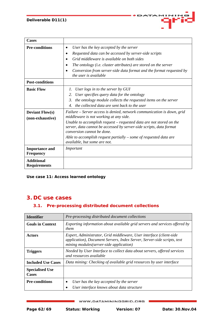| <b>Cases</b>                               |                                                                                                                                                                                                                                                                                                                                                                                                     |
|--------------------------------------------|-----------------------------------------------------------------------------------------------------------------------------------------------------------------------------------------------------------------------------------------------------------------------------------------------------------------------------------------------------------------------------------------------------|
| <b>Pre-conditions</b>                      | User has the key accepted by the server<br>$\bullet$<br>Requested data can be accessed by server-side scripts<br>٠<br>Grid middleware is available on both sides<br>$\bullet$<br>The ontology (i.e. cluster attributes) are stored on the server<br>٠<br>Conversion from server-side data format and the format requested by<br>$\bullet$<br>the user is available                                  |
| <b>Post-conditions</b>                     |                                                                                                                                                                                                                                                                                                                                                                                                     |
| <b>Basic Flow</b>                          | User logs in to the server by GUI<br>1.<br>User specifies query data for the ontology<br>2.<br>3.<br>the ontology module collects the requested items on the server<br>the collected data are sent back to the user<br>$\mathcal{A}_{\cdot}$                                                                                                                                                        |
| <b>Deviant Flow(s)</b><br>(non-exhaustive) | Failure – Server access is denied, network communication is down, grid<br>middleware is not working at any side.<br>Unable to accomplish request - requested data are not stored on the<br>server, data cannot be accessed by server-side scripts, data format<br>conversion cannot be done.<br>Able to accomplish request partially $-$ some of requested data are<br>available, but some are not. |
| <b>Importance and</b><br><b>Frequency</b>  | Important                                                                                                                                                                                                                                                                                                                                                                                           |
| <b>Additional</b><br><b>Requirements</b>   |                                                                                                                                                                                                                                                                                                                                                                                                     |

**Use case 11:** *Access learned ontology*

## **3. DC use cases**

## **3.1. Pre-processing distributed document collections**

| <b>Identifier</b>                      | Pre-processing distributed document collections                                                                                                                                           |
|----------------------------------------|-------------------------------------------------------------------------------------------------------------------------------------------------------------------------------------------|
| <b>Goals in Context</b>                | Exporting information about available grid servers and services offered by<br>them                                                                                                        |
| <b>Actors</b>                          | Expert, Administrator, Grid middleware, User interface (client-side<br>application), Document Servers, Index Server, Server-side scripts, text<br>mining modules(server-side application) |
| <b>Triggers</b>                        | Needed by User Interface to collect data about servers, offered services<br>and resources available                                                                                       |
| <b>Included Use Cases</b>              | Data mining: Checking of available grid resources by user interface                                                                                                                       |
| <b>Specialised Use</b><br><b>Cases</b> |                                                                                                                                                                                           |
| <b>Pre-conditions</b>                  | User has the key accepted by the server                                                                                                                                                   |
|                                        | User interface knows about data structure                                                                                                                                                 |

#### WWW.DATAMININGGRID.ORG

a a s

 $115$ Œ

**DATA**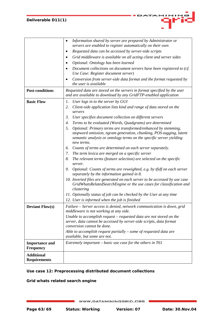|                                           | Information shared by server are prepared by Administrator or<br>٠<br>servers are enabled to register automatically on their own                                                                                               |
|-------------------------------------------|--------------------------------------------------------------------------------------------------------------------------------------------------------------------------------------------------------------------------------|
|                                           | Requested data can be accessed by server-side scripts                                                                                                                                                                          |
|                                           | Grid middleware is available on all acting client and server sides                                                                                                                                                             |
|                                           | Optional: Ontology has been learned                                                                                                                                                                                            |
|                                           | Document collections on document servers have been registered to (cf.<br>Use Case: Register document server)                                                                                                                   |
|                                           | Conversion from server-side data format and the format requested by<br>the user is available                                                                                                                                   |
| <b>Post-conditions</b>                    | Requested data are stored on the servers in format specified by the user<br>and are available to download by any GridFTP-enabled application                                                                                   |
| <b>Basic Flow</b>                         | User logs in to the server by GUI<br>Ι.                                                                                                                                                                                        |
|                                           | Client-side application lists kind and range of data stored on the<br>2.<br>servers                                                                                                                                            |
|                                           | User specifies document collection on different servers<br>3.                                                                                                                                                                  |
|                                           | Terms to be evaluated (Words, Quadgrams) are determined<br>4.                                                                                                                                                                  |
|                                           | 5.<br>Optional: Primary terms are transformed/enhanced by stemming,<br>stopword omission, ngram generation, chunking, POS-tagging, latent<br>semantic analysis or ontology terms on the specific server yielding<br>new terms. |
|                                           | Counts of terms are determined on each server separately.<br>6.                                                                                                                                                                |
|                                           | The term lexica are merged on a specific server<br>7.                                                                                                                                                                          |
|                                           | 8.<br>The relevant terms (feature selection) are selected on the specific<br>server.                                                                                                                                           |
|                                           | Optional: Counts of terms are reweighted, e.g. by tfidf on each server<br>9.<br>separately by the information gained in 8.                                                                                                     |
|                                           | 10. Inverted files are generated on each server to be accessed by use case<br>GridWhatsRelatedSearchEngine or the use cases for classification and<br>clustering                                                               |
|                                           | 11. Optionally status of job can be checked by the User at any time<br>12. User is informed when the job is finished                                                                                                           |
| <b>Deviant Flow(s)</b>                    | Failure – Server access is denied, network communication is down, grid<br>middleware is not working at any side.                                                                                                               |
|                                           | Unable to accomplish request – requested data are not stored on the<br>server, data cannot be accessed by server-side scripts, data format<br>conversion cannot be done.                                                       |
|                                           | Able to accomplish request partially $-$ some of requested data are<br>available, but some are not.                                                                                                                            |
| <b>Importance and</b><br><b>Frequency</b> | Extremely important – basic use case for the others in T61                                                                                                                                                                     |
| <b>Additional</b><br><b>Requirements</b>  |                                                                                                                                                                                                                                |

## **Use case 12: Preprocessing distributed document collections**

## **Grid whats related search engine**

DATAMINING o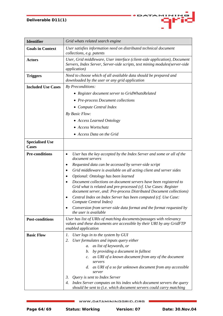| <b>Identifier</b>                      | Grid whats related search engine                                                                                                                                                                                                                                                                                                                                                                                                                                                                                                  |
|----------------------------------------|-----------------------------------------------------------------------------------------------------------------------------------------------------------------------------------------------------------------------------------------------------------------------------------------------------------------------------------------------------------------------------------------------------------------------------------------------------------------------------------------------------------------------------------|
| <b>Goals in Context</b>                | User satisfies information need on distributed technical document<br>collections, e.g. patents                                                                                                                                                                                                                                                                                                                                                                                                                                    |
| <b>Actors</b>                          | User, Grid middleware, User interface (client-side application), Document<br>Servers, Index Server, Server-side scripts, text mining modules(server-side<br><i>application</i> )                                                                                                                                                                                                                                                                                                                                                  |
| <b>Triggers</b>                        | Need to choose which of all available data should be prepared and<br>downloaded by the user or any grid application                                                                                                                                                                                                                                                                                                                                                                                                               |
| <b>Included Use Cases</b>              | By Preconditions:                                                                                                                                                                                                                                                                                                                                                                                                                                                                                                                 |
|                                        | • Register document server to GridWhatsRelated                                                                                                                                                                                                                                                                                                                                                                                                                                                                                    |
|                                        | • Pre-process Document collections                                                                                                                                                                                                                                                                                                                                                                                                                                                                                                |
|                                        | • Compute Central Index                                                                                                                                                                                                                                                                                                                                                                                                                                                                                                           |
|                                        | By Basic Flow:                                                                                                                                                                                                                                                                                                                                                                                                                                                                                                                    |
|                                        | • Access Learned Ontology                                                                                                                                                                                                                                                                                                                                                                                                                                                                                                         |
|                                        | • Access Wortschatz                                                                                                                                                                                                                                                                                                                                                                                                                                                                                                               |
|                                        | • Access Data on the Grid                                                                                                                                                                                                                                                                                                                                                                                                                                                                                                         |
| <b>Specialised Use</b><br><b>Cases</b> |                                                                                                                                                                                                                                                                                                                                                                                                                                                                                                                                   |
| <b>Pre-conditions</b>                  | User has the key accepted by the Index Server and some or all of the<br>$\bullet$<br>document servers<br>Requested data can be accessed by server-side script<br>٠                                                                                                                                                                                                                                                                                                                                                                |
|                                        | Grid middleware is available on all acting client and server sides                                                                                                                                                                                                                                                                                                                                                                                                                                                                |
|                                        | Optional: Ontology has been learned                                                                                                                                                                                                                                                                                                                                                                                                                                                                                               |
|                                        | Document collections on document servers have been registered to<br>Grid what is related and pre-processed (cf. Use Cases: Register<br>document server, and: Pre-process Distributed Document collections)                                                                                                                                                                                                                                                                                                                        |
|                                        | Central Index on Index Server has been computed (cf. Use Case:<br>Compute Central Index)                                                                                                                                                                                                                                                                                                                                                                                                                                          |
|                                        | Conversion from server-side data format and the format requested by<br>the user is available                                                                                                                                                                                                                                                                                                                                                                                                                                      |
| <b>Post-conditions</b>                 | User has list of URIs of matching documents/passages with relevancy<br>values and these documents are accessible by their URI by any GridFTP<br>enabled application                                                                                                                                                                                                                                                                                                                                                               |
| <b>Basic Flow</b>                      | User logs in to the system by GUI<br>1.<br>User formulates and inputs query either<br>2.<br>as list of keywords, or<br>a.<br>by providing a document in fulltext<br>b.<br>as URI of a known document from any of the document<br>$\mathcal{C}$ .<br>servers<br>as URI of a so far unknown document from any accessible<br>d.<br>server<br>Query is sent to Index Server<br>3.<br>Index Server computes on his index which document servers the query<br>4.<br>should be sent to (i.e. which document servers could carry matching |

DATAMININ

G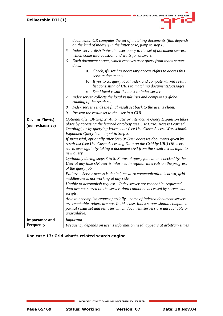| <b>Deviant Flow(s)</b><br>(non-exhaustive) | documents) OR computes the set of matching documents (this depends<br>on the kind of index!!) In the latter case, jump to step 8.<br>5.<br>Index server distributes the user query to the set of document servers<br>which come into question and waits for answers<br>Each document server, which receives user query from index server<br>6.<br>does:<br>Check, if user has necessary access rights to access this<br>a.<br>servers documents<br>If yes to a., query local index and compute ranked result<br>b.<br>list consisting of URIs to matching documents/passages<br>Send local result list back to index server<br>$\overline{c}$ .<br>7.<br>Index server collects the local result lists and computes a global<br>ranking of the result set<br>Index server sends the final result set back to the user's client.<br>8.<br>Present the result set to the user in a GUI.<br>9.<br>Optional after BF Step 2: Automatic or interactive Query Expansion takes<br>place by accessing the learned ontology (see Use Case: Access Learned<br>Ontology) or by querying Wortschatz (see Use Case: Access Wortschatz).<br>Expanded Query is the input to Step 3.<br>If successful, optionally after Step 9: User accesses documents given by |
|--------------------------------------------|-------------------------------------------------------------------------------------------------------------------------------------------------------------------------------------------------------------------------------------------------------------------------------------------------------------------------------------------------------------------------------------------------------------------------------------------------------------------------------------------------------------------------------------------------------------------------------------------------------------------------------------------------------------------------------------------------------------------------------------------------------------------------------------------------------------------------------------------------------------------------------------------------------------------------------------------------------------------------------------------------------------------------------------------------------------------------------------------------------------------------------------------------------------------------------------------------------------------------------------------------|
|                                            | starts over again by taking a document URI from the result list as input to<br>new query.<br>Optionally during steps 3 to 8: Status of query job can be checked by the<br>User at any time OR user is informed in regular intervals on the progress<br>of the query job<br>Failure - Server access is denied, network communication is down, grid<br>middleware is not working at any side.<br>Unable to accomplish request - Index server not reachable, requested<br>data are not stored on the server, data cannot be accessed by server-side<br>scripts.<br>Able to accomplish request partially $-$ some of indexed document servers<br>are reachable, others are not. In this case, Index server should compute a<br>partial result set and tell user which document servers are unreachable or<br>unavailable.                                                                                                                                                                                                                                                                                                                                                                                                                           |
| <b>Importance and</b><br><b>Frequency</b>  | Important<br>Frequency depends on user's information need, appears at arbitrary times                                                                                                                                                                                                                                                                                                                                                                                                                                                                                                                                                                                                                                                                                                                                                                                                                                                                                                                                                                                                                                                                                                                                                           |

**Use case 13:** *Grid what's related search engine* 

4 L P

×.

ATA

a e e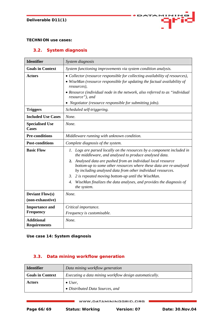

## **TECHNION use cases:**

## **3.2. System diagnosis**

| <b>Identifier</b>                          | System diagnosis                                                                                                                                                                                                                                                                                                                                                                                                                                                                             |
|--------------------------------------------|----------------------------------------------------------------------------------------------------------------------------------------------------------------------------------------------------------------------------------------------------------------------------------------------------------------------------------------------------------------------------------------------------------------------------------------------------------------------------------------------|
| <b>Goals in Context</b>                    | System functioning improvements via system condition analysis.                                                                                                                                                                                                                                                                                                                                                                                                                               |
| <b>Actors</b>                              | • Collector (resource responsible for collecting availability of resources),<br>• WiseMan (resource responsible for updating the factual availability of<br>resources),<br>• Resource (individual node in the network, also referred to as "individual<br>resource"), and<br>• Negotiator (resource responsible for submitting jobs).                                                                                                                                                        |
| <b>Triggers</b>                            | Scheduled self-triggering.                                                                                                                                                                                                                                                                                                                                                                                                                                                                   |
| <b>Included Use Cases</b>                  | None.                                                                                                                                                                                                                                                                                                                                                                                                                                                                                        |
| <b>Specialised Use</b><br><b>Cases</b>     | None.                                                                                                                                                                                                                                                                                                                                                                                                                                                                                        |
| <b>Pre-conditions</b>                      | Middleware running with unknown condition.                                                                                                                                                                                                                                                                                                                                                                                                                                                   |
| <b>Post-conditions</b>                     | Complete diagnosis of the system.                                                                                                                                                                                                                                                                                                                                                                                                                                                            |
| <b>Basic Flow</b>                          | 1. Logs are parsed locally on the resources by a component included in<br>the middleware, and analysed to produce analysed data.<br>2. Analysed data are pushed from an individual local resource<br>bottom-up to some other resources where these data are re-analysed<br>by including analysed data from other individual resources.<br>3.<br>2 is repeated moving bottom-up until the WiseMan.<br>WiseMan finalizes the data analyses, and provides the diagnosis of<br>4.<br>the system. |
| <b>Deviant Flow(s)</b><br>(non-exhaustive) | None.                                                                                                                                                                                                                                                                                                                                                                                                                                                                                        |
| <b>Importance and</b><br><b>Frequency</b>  | Critical importance.<br>Frequency is customisable.                                                                                                                                                                                                                                                                                                                                                                                                                                           |
| <b>Additional</b><br><b>Requirements</b>   | None.                                                                                                                                                                                                                                                                                                                                                                                                                                                                                        |

<span id="page-65-0"></span>**Use case 14:** *System diagnosis*

## **3.3. Data mining workflow generation**

| <b>Identifier</b>       | Data mining workflow generation                        |
|-------------------------|--------------------------------------------------------|
| <b>Goals in Context</b> | Executing a data mining workflow design automatically. |
| <b>Actors</b>           | $\bullet$ User.<br>• Distributed Data Sources, and     |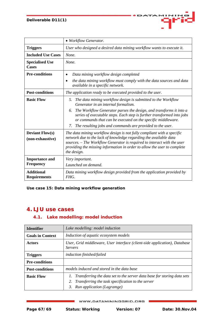|                                            | • Workflow Generator.                                                                                                                                                                                                                                                                                             |
|--------------------------------------------|-------------------------------------------------------------------------------------------------------------------------------------------------------------------------------------------------------------------------------------------------------------------------------------------------------------------|
| <b>Triggers</b>                            | User who designed a desired data mining workflow wants to execute it.                                                                                                                                                                                                                                             |
| <b>Included Use Cases</b>                  | None.                                                                                                                                                                                                                                                                                                             |
| <b>Specialised Use</b><br><b>Cases</b>     | None.                                                                                                                                                                                                                                                                                                             |
| <b>Pre-conditions</b>                      | Data mining workflow design completed                                                                                                                                                                                                                                                                             |
|                                            | the data mining workflow must comply with the data sources and data<br>$\bullet$<br>available in a specific network.                                                                                                                                                                                              |
| <b>Post-conditions</b>                     | The application ready to be executed provided to the user.                                                                                                                                                                                                                                                        |
| <b>Basic Flow</b>                          | The data mining workflow design is submitted to the Workflow<br>5.<br>Generator in an internal formalism.                                                                                                                                                                                                         |
|                                            | The Workflow Generator parses the design, and transforms it into a<br>6.<br>series of executable steps. Each step is further transformed into jobs<br>or commands that can be executed on the specific middleware.                                                                                                |
|                                            | 7.<br>The resulting jobs and commands are provided to the user.                                                                                                                                                                                                                                                   |
| <b>Deviant Flow(s)</b><br>(non-exhaustive) | The data mining workflow design is not fully compliant with a specific<br>network due to the lack of knowledge regarding the available data<br>sources. – The Workflow Generator is required to interact with the user<br>providing the missing information in order to allow the user to complete<br>the design. |
| <b>Importance and</b><br><b>Frequency</b>  | Very important.<br>Launched on demand.                                                                                                                                                                                                                                                                            |
| <b>Additional</b><br><b>Requirements</b>   | Data mining workflow design provided from the application provided by<br>FHG.                                                                                                                                                                                                                                     |

DATA

41 M H

Œ

**Use case 15:** *Data mining workflow generation* 

## **4. LJU use cases**

## **4.1. Lake modelling: model induction**

| <b>Identifier</b>       | Lake modelling: model induction                                                                                                                                        |
|-------------------------|------------------------------------------------------------------------------------------------------------------------------------------------------------------------|
| <b>Goals in Context</b> | Induction of aquatic ecosystem models                                                                                                                                  |
| <b>Actors</b>           | User, Grid middleware, User interface (client-side application), Database<br><i>Servers</i>                                                                            |
| <b>Triggers</b>         | induction finished/failed                                                                                                                                              |
| <b>Pre-conditions</b>   |                                                                                                                                                                        |
| <b>Post-conditions</b>  | models induced and stored in the data base                                                                                                                             |
| <b>Basic Flow</b>       | Transferring the data set to the server data base for storing data sets<br>Transferring the task specification to the server<br>2.<br>Run application (Lagramge)<br>3. |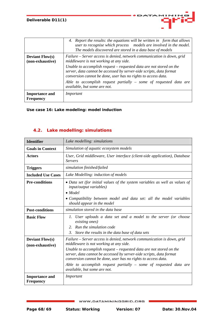|                                           | Report the results: the equations will be written in form that allows<br>4.<br>user to recognise which process models are involved in the model.<br>The models discovered are stored in a data base of models                                                                                                                                                                                                                          |
|-------------------------------------------|----------------------------------------------------------------------------------------------------------------------------------------------------------------------------------------------------------------------------------------------------------------------------------------------------------------------------------------------------------------------------------------------------------------------------------------|
| <b>Deviant Flows</b><br>(non-exhaustive)  | Failure – Server access is denied, network communication is down, grid<br>middleware is not working at any side.<br>Unable to accomplish request – requested data are not stored on the<br>server, data cannot be accessed by server-side scripts, data format<br>conversion cannot be done, user has no rights to access data.<br>Able to accomplish request partially $-$ some of requested data are<br>available, but some are not. |
| <b>Importance and</b><br><b>Frequency</b> | Important                                                                                                                                                                                                                                                                                                                                                                                                                              |

**Use case 16:** *Lake modeling: model induction* 

## **4.2. Lake modelling: simulations**

| <b>Identifier</b>                          | Lake modelling: simulations                                                                                                                                                                                                                                                                                                                                                                                                            |
|--------------------------------------------|----------------------------------------------------------------------------------------------------------------------------------------------------------------------------------------------------------------------------------------------------------------------------------------------------------------------------------------------------------------------------------------------------------------------------------------|
| <b>Goals in Context</b>                    | Simulation of aquatic ecosystem models                                                                                                                                                                                                                                                                                                                                                                                                 |
| <b>Actors</b>                              | User, Grid middleware, User interface (client-side application), Database<br><b>Servers</b>                                                                                                                                                                                                                                                                                                                                            |
| <b>Triggers</b>                            | simulation finished/failed                                                                                                                                                                                                                                                                                                                                                                                                             |
| <b>Included Use Cases</b>                  | Lake Modelling: induction of models                                                                                                                                                                                                                                                                                                                                                                                                    |
| <b>Pre-conditions</b>                      | • Data set (for initial values of the system variables as well as values of<br><i>input/output variables)</i><br>$\bullet$ Model<br>• Compatibility between model and data set: all the model variables<br>should appear in the model                                                                                                                                                                                                  |
| <b>Post-conditions</b>                     | simulation stored in the data base                                                                                                                                                                                                                                                                                                                                                                                                     |
| <b>Basic Flow</b>                          | 1. User uploads a data set and a model to the server (or choose<br>existing ones)<br><b>Run the simulation code</b><br>$2^{\circ}$<br>3.<br>Store the results in the data base of data sets                                                                                                                                                                                                                                            |
| <b>Deviant Flow(s)</b><br>(non-exhaustive) | Failure – Server access is denied, network communication is down, grid<br>middleware is not working at any side.<br>Unable to accomplish request – requested data are not stored on the<br>server, data cannot be accessed by server-side scripts, data format<br>conversion cannot be done, user has no rights to access data.<br>Able to accomplish request partially $-$ some of requested data are<br>available, but some are not. |
| <b>Importance and</b><br><b>Frequency</b>  | Important                                                                                                                                                                                                                                                                                                                                                                                                                              |

11 M I M

Œ

 $2ATA$